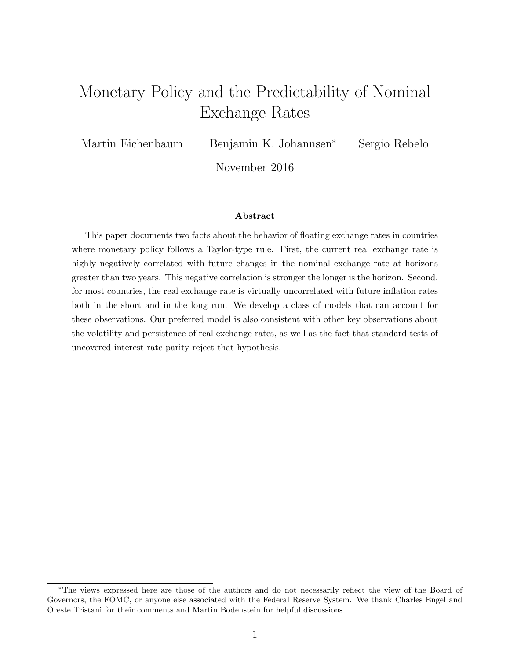# Monetary Policy and the Predictability of Nominal Exchange Rates

Martin Eichenbaum Benjamin K. Johannsen<sup>∗</sup> Sergio Rebelo

November 2016

#### Abstract

This paper documents two facts about the behavior of floating exchange rates in countries where monetary policy follows a Taylor-type rule. First, the current real exchange rate is highly negatively correlated with future changes in the nominal exchange rate at horizons greater than two years. This negative correlation is stronger the longer is the horizon. Second, for most countries, the real exchange rate is virtually uncorrelated with future inflation rates both in the short and in the long run. We develop a class of models that can account for these observations. Our preferred model is also consistent with other key observations about the volatility and persistence of real exchange rates, as well as the fact that standard tests of uncovered interest rate parity reject that hypothesis.

<sup>∗</sup>The views expressed here are those of the authors and do not necessarily reflect the view of the Board of Governors, the FOMC, or anyone else associated with the Federal Reserve System. We thank Charles Engel and Oreste Tristani for their comments and Martin Bodenstein for helpful discussions.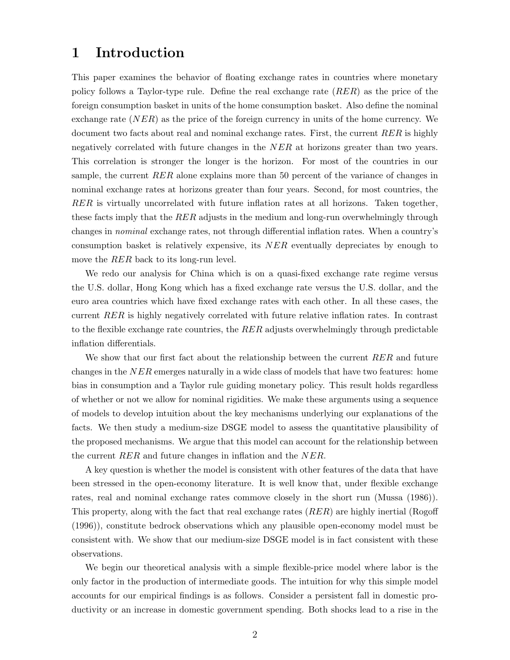# 1 Introduction

This paper examines the behavior of floating exchange rates in countries where monetary policy follows a Taylor-type rule. Define the real exchange rate (RER) as the price of the foreign consumption basket in units of the home consumption basket. Also define the nominal exchange rate  $(NER)$  as the price of the foreign currency in units of the home currency. We document two facts about real and nominal exchange rates. First, the current RER is highly negatively correlated with future changes in the NER at horizons greater than two years. This correlation is stronger the longer is the horizon. For most of the countries in our sample, the current  $RER$  alone explains more than 50 percent of the variance of changes in nominal exchange rates at horizons greater than four years. Second, for most countries, the RER is virtually uncorrelated with future inflation rates at all horizons. Taken together, these facts imply that the RER adjusts in the medium and long-run overwhelmingly through changes in nominal exchange rates, not through differential inflation rates. When a country's consumption basket is relatively expensive, its NER eventually depreciates by enough to move the RER back to its long-run level.

We redo our analysis for China which is on a quasi-fixed exchange rate regime versus the U.S. dollar, Hong Kong which has a fixed exchange rate versus the U.S. dollar, and the euro area countries which have fixed exchange rates with each other. In all these cases, the current RER is highly negatively correlated with future relative inflation rates. In contrast to the flexible exchange rate countries, the  $RER$  adjusts overwhelmingly through predictable inflation differentials.

We show that our first fact about the relationship between the current RER and future changes in the  $NER$  emerges naturally in a wide class of models that have two features: home bias in consumption and a Taylor rule guiding monetary policy. This result holds regardless of whether or not we allow for nominal rigidities. We make these arguments using a sequence of models to develop intuition about the key mechanisms underlying our explanations of the facts. We then study a medium-size DSGE model to assess the quantitative plausibility of the proposed mechanisms. We argue that this model can account for the relationship between the current RER and future changes in inflation and the NER.

A key question is whether the model is consistent with other features of the data that have been stressed in the open-economy literature. It is well know that, under flexible exchange rates, real and nominal exchange rates commove closely in the short run (Mussa (1986)). This property, along with the fact that real exchange rates (RER) are highly inertial (Rogoff (1996)), constitute bedrock observations which any plausible open-economy model must be consistent with. We show that our medium-size DSGE model is in fact consistent with these observations.

We begin our theoretical analysis with a simple flexible-price model where labor is the only factor in the production of intermediate goods. The intuition for why this simple model accounts for our empirical findings is as follows. Consider a persistent fall in domestic productivity or an increase in domestic government spending. Both shocks lead to a rise in the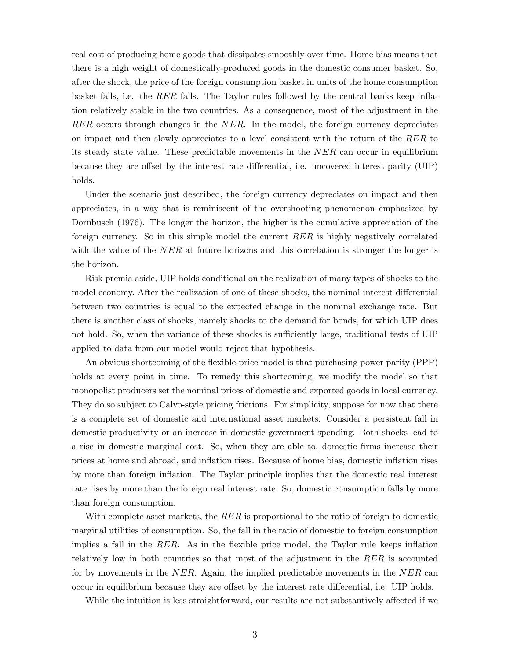real cost of producing home goods that dissipates smoothly over time. Home bias means that there is a high weight of domestically-produced goods in the domestic consumer basket. So, after the shock, the price of the foreign consumption basket in units of the home consumption basket falls, i.e. the RER falls. The Taylor rules followed by the central banks keep inflation relatively stable in the two countries. As a consequence, most of the adjustment in the  $RER$  occurs through changes in the  $NER$ . In the model, the foreign currency depreciates on impact and then slowly appreciates to a level consistent with the return of the RER to its steady state value. These predictable movements in the NER can occur in equilibrium because they are offset by the interest rate differential, i.e. uncovered interest parity (UIP) holds.

Under the scenario just described, the foreign currency depreciates on impact and then appreciates, in a way that is reminiscent of the overshooting phenomenon emphasized by Dornbusch (1976). The longer the horizon, the higher is the cumulative appreciation of the foreign currency. So in this simple model the current RER is highly negatively correlated with the value of the  $NER$  at future horizons and this correlation is stronger the longer is the horizon.

Risk premia aside, UIP holds conditional on the realization of many types of shocks to the model economy. After the realization of one of these shocks, the nominal interest differential between two countries is equal to the expected change in the nominal exchange rate. But there is another class of shocks, namely shocks to the demand for bonds, for which UIP does not hold. So, when the variance of these shocks is sufficiently large, traditional tests of UIP applied to data from our model would reject that hypothesis.

An obvious shortcoming of the flexible-price model is that purchasing power parity (PPP) holds at every point in time. To remedy this shortcoming, we modify the model so that monopolist producers set the nominal prices of domestic and exported goods in local currency. They do so subject to Calvo-style pricing frictions. For simplicity, suppose for now that there is a complete set of domestic and international asset markets. Consider a persistent fall in domestic productivity or an increase in domestic government spending. Both shocks lead to a rise in domestic marginal cost. So, when they are able to, domestic firms increase their prices at home and abroad, and inflation rises. Because of home bias, domestic inflation rises by more than foreign inflation. The Taylor principle implies that the domestic real interest rate rises by more than the foreign real interest rate. So, domestic consumption falls by more than foreign consumption.

With complete asset markets, the  $RER$  is proportional to the ratio of foreign to domestic marginal utilities of consumption. So, the fall in the ratio of domestic to foreign consumption implies a fall in the  $RER$ . As in the flexible price model, the Taylor rule keeps inflation relatively low in both countries so that most of the adjustment in the  $RER$  is accounted for by movements in the NER. Again, the implied predictable movements in the NER can occur in equilibrium because they are offset by the interest rate differential, i.e. UIP holds.

While the intuition is less straightforward, our results are not substantively affected if we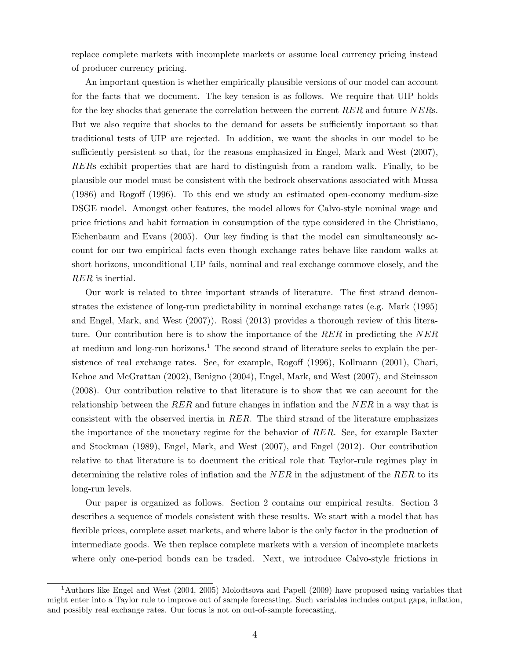replace complete markets with incomplete markets or assume local currency pricing instead of producer currency pricing.

An important question is whether empirically plausible versions of our model can account for the facts that we document. The key tension is as follows. We require that UIP holds for the key shocks that generate the correlation between the current RER and future NERs. But we also require that shocks to the demand for assets be sufficiently important so that traditional tests of UIP are rejected. In addition, we want the shocks in our model to be sufficiently persistent so that, for the reasons emphasized in Engel, Mark and West (2007), RERs exhibit properties that are hard to distinguish from a random walk. Finally, to be plausible our model must be consistent with the bedrock observations associated with Mussa (1986) and Rogoff (1996). To this end we study an estimated open-economy medium-size DSGE model. Amongst other features, the model allows for Calvo-style nominal wage and price frictions and habit formation in consumption of the type considered in the Christiano, Eichenbaum and Evans (2005). Our key finding is that the model can simultaneously account for our two empirical facts even though exchange rates behave like random walks at short horizons, unconditional UIP fails, nominal and real exchange commove closely, and the RER is inertial.

Our work is related to three important strands of literature. The first strand demonstrates the existence of long-run predictability in nominal exchange rates (e.g. Mark (1995) and Engel, Mark, and West (2007)). Rossi (2013) provides a thorough review of this literature. Our contribution here is to show the importance of the  $RER$  in predicting the  $NER$ at medium and long-run horizons.<sup>1</sup> The second strand of literature seeks to explain the persistence of real exchange rates. See, for example, Rogoff (1996), Kollmann (2001), Chari, Kehoe and McGrattan (2002), Benigno (2004), Engel, Mark, and West (2007), and Steinsson (2008). Our contribution relative to that literature is to show that we can account for the relationship between the RER and future changes in inflation and the  $NER$  in a way that is consistent with the observed inertia in RER. The third strand of the literature emphasizes the importance of the monetary regime for the behavior of RER. See, for example Baxter and Stockman (1989), Engel, Mark, and West (2007), and Engel (2012). Our contribution relative to that literature is to document the critical role that Taylor-rule regimes play in determining the relative roles of inflation and the  $NER$  in the adjustment of the  $RER$  to its long-run levels.

Our paper is organized as follows. Section 2 contains our empirical results. Section 3 describes a sequence of models consistent with these results. We start with a model that has flexible prices, complete asset markets, and where labor is the only factor in the production of intermediate goods. We then replace complete markets with a version of incomplete markets where only one-period bonds can be traded. Next, we introduce Calvo-style frictions in

<sup>&</sup>lt;sup>1</sup>Authors like Engel and West (2004, 2005) Molodtsova and Papell (2009) have proposed using variables that might enter into a Taylor rule to improve out of sample forecasting. Such variables includes output gaps, inflation, and possibly real exchange rates. Our focus is not on out-of-sample forecasting.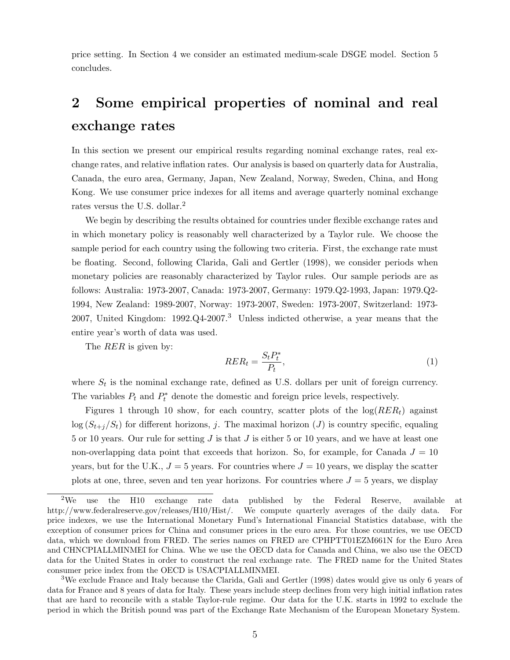price setting. In Section 4 we consider an estimated medium-scale DSGE model. Section 5 concludes.

# 2 Some empirical properties of nominal and real exchange rates

In this section we present our empirical results regarding nominal exchange rates, real exchange rates, and relative inflation rates. Our analysis is based on quarterly data for Australia, Canada, the euro area, Germany, Japan, New Zealand, Norway, Sweden, China, and Hong Kong. We use consumer price indexes for all items and average quarterly nominal exchange rates versus the U.S. dollar.<sup>2</sup>

We begin by describing the results obtained for countries under flexible exchange rates and in which monetary policy is reasonably well characterized by a Taylor rule. We choose the sample period for each country using the following two criteria. First, the exchange rate must be floating. Second, following Clarida, Gali and Gertler (1998), we consider periods when monetary policies are reasonably characterized by Taylor rules. Our sample periods are as follows: Australia: 1973-2007, Canada: 1973-2007, Germany: 1979.Q2-1993, Japan: 1979.Q2- 1994, New Zealand: 1989-2007, Norway: 1973-2007, Sweden: 1973-2007, Switzerland: 1973- 2007, United Kingdom: 1992.Q4-2007.<sup>3</sup> Unless indicted otherwise, a year means that the entire year's worth of data was used.

The *RER* is given by:

$$
RER_t = \frac{S_t P_t^*}{P_t},\tag{1}
$$

where  $S_t$  is the nominal exchange rate, defined as U.S. dollars per unit of foreign currency. The variables  $P_t$  and  $P_t^*$  denote the domestic and foreign price levels, respectively.

Figures 1 through 10 show, for each country, scatter plots of the  $log(RER_t)$  against  $\log (S_{t+j}/S_t)$  for different horizons, j. The maximal horizon (J) is country specific, equaling 5 or 10 years. Our rule for setting  $J$  is that  $J$  is either 5 or 10 years, and we have at least one non-overlapping data point that exceeds that horizon. So, for example, for Canada  $J = 10$ years, but for the U.K.,  $J = 5$  years. For countries where  $J = 10$  years, we display the scatter plots at one, three, seven and ten year horizons. For countries where  $J = 5$  years, we display

 $2$ We use the H10 exchange rate data published by the Federal Reserve, available at http://www.federalreserve.gov/releases/H10/Hist/. We compute quarterly averages of the daily data. For price indexes, we use the International Monetary Fund's International Financial Statistics database, with the exception of consumer prices for China and consumer prices in the euro area. For those countries, we use OECD data, which we download from FRED. The series names on FRED are CPHPTT01EZM661N for the Euro Area and CHNCPIALLMINMEI for China. Whe we use the OECD data for Canada and China, we also use the OECD data for the United States in order to construct the real exchange rate. The FRED name for the United States consumer price index from the OECD is USACPIALLMINMEI.

<sup>3</sup>We exclude France and Italy because the Clarida, Gali and Gertler (1998) dates would give us only 6 years of data for France and 8 years of data for Italy. These years include steep declines from very high initial inflation rates that are hard to reconcile with a stable Taylor-rule regime. Our data for the U.K. starts in 1992 to exclude the period in which the British pound was part of the Exchange Rate Mechanism of the European Monetary System.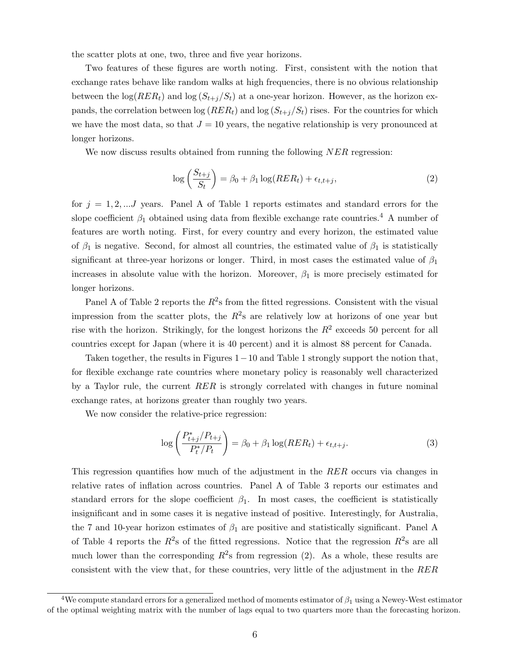the scatter plots at one, two, three and five year horizons.

Two features of these figures are worth noting. First, consistent with the notion that exchange rates behave like random walks at high frequencies, there is no obvious relationship between the  $\log(RER_t)$  and  $\log(S_{t+j}/S_t)$  at a one-year horizon. However, as the horizon expands, the correlation between  $\log(RER_t)$  and  $\log(S_{t+i}/S_t)$  rises. For the countries for which we have the most data, so that  $J = 10$  years, the negative relationship is very pronounced at longer horizons.

We now discuss results obtained from running the following  $NER$  regression:

$$
\log\left(\frac{S_{t+j}}{S_t}\right) = \beta_0 + \beta_1 \log(RER_t) + \epsilon_{t,t+j},\tag{2}
$$

for  $j = 1, 2, \dots J$  years. Panel A of Table 1 reports estimates and standard errors for the slope coefficient  $\beta_1$  obtained using data from flexible exchange rate countries.<sup>4</sup> A number of features are worth noting. First, for every country and every horizon, the estimated value of  $\beta_1$  is negative. Second, for almost all countries, the estimated value of  $\beta_1$  is statistically significant at three-year horizons or longer. Third, in most cases the estimated value of  $\beta_1$ increases in absolute value with the horizon. Moreover,  $\beta_1$  is more precisely estimated for longer horizons.

Panel A of Table 2 reports the  $R^2$ s from the fitted regressions. Consistent with the visual impression from the scatter plots, the  $R^2$ s are relatively low at horizons of one year but rise with the horizon. Strikingly, for the longest horizons the  $R^2$  exceeds 50 percent for all countries except for Japan (where it is 40 percent) and it is almost 88 percent for Canada.

Taken together, the results in Figures 1−10 and Table 1 strongly support the notion that, for flexible exchange rate countries where monetary policy is reasonably well characterized by a Taylor rule, the current  $RER$  is strongly correlated with changes in future nominal exchange rates, at horizons greater than roughly two years.

We now consider the relative-price regression:

$$
\log\left(\frac{P_{t+j}^*/P_{t+j}}{P_t^*/P_t}\right) = \beta_0 + \beta_1 \log(RER_t) + \epsilon_{t,t+j}.\tag{3}
$$

This regression quantifies how much of the adjustment in the RER occurs via changes in relative rates of inflation across countries. Panel A of Table 3 reports our estimates and standard errors for the slope coefficient  $\beta_1$ . In most cases, the coefficient is statistically insignificant and in some cases it is negative instead of positive. Interestingly, for Australia, the 7 and 10-year horizon estimates of  $\beta_1$  are positive and statistically significant. Panel A of Table 4 reports the  $R^2$ s of the fitted regressions. Notice that the regression  $R^2$ s are all much lower than the corresponding  $R^2$ s from regression (2). As a whole, these results are consistent with the view that, for these countries, very little of the adjustment in the RER

<sup>&</sup>lt;sup>4</sup>We compute standard errors for a generalized method of moments estimator of  $\beta_1$  using a Newey-West estimator of the optimal weighting matrix with the number of lags equal to two quarters more than the forecasting horizon.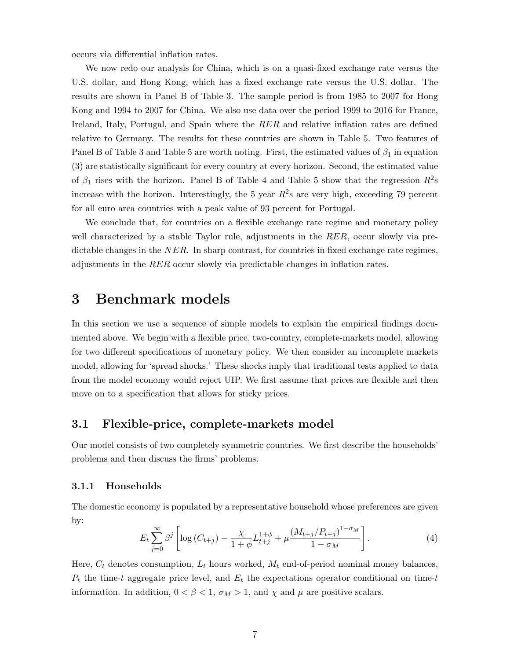occurs via differential inflation rates.

We now redo our analysis for China, which is on a quasi-fixed exchange rate versus the U.S. dollar, and Hong Kong, which has a fixed exchange rate versus the U.S. dollar. The results are shown in Panel B of Table 3. The sample period is from 1985 to 2007 for Hong Kong and 1994 to 2007 for China. We also use data over the period 1999 to 2016 for France, Ireland, Italy, Portugal, and Spain where the RER and relative inflation rates are defined relative to Germany. The results for these countries are shown in Table 5. Two features of Panel B of Table 3 and Table 5 are worth noting. First, the estimated values of  $\beta_1$  in equation (3) are statistically significant for every country at every horizon. Second, the estimated value of  $\beta_1$  rises with the horizon. Panel B of Table 4 and Table 5 show that the regression  $R^2$ s increase with the horizon. Interestingly, the 5 year  $R^2$ s are very high, exceeding 79 percent for all euro area countries with a peak value of 93 percent for Portugal.

We conclude that, for countries on a flexible exchange rate regime and monetary policy well characterized by a stable Taylor rule, adjustments in the RER, occur slowly via predictable changes in the  $NER$ . In sharp contrast, for countries in fixed exchange rate regimes, adjustments in the RER occur slowly via predictable changes in inflation rates.

# 3 Benchmark models

In this section we use a sequence of simple models to explain the empirical findings documented above. We begin with a flexible price, two-country, complete-markets model, allowing for two different specifications of monetary policy. We then consider an incomplete markets model, allowing for 'spread shocks.' These shocks imply that traditional tests applied to data from the model economy would reject UIP. We first assume that prices are flexible and then move on to a specification that allows for sticky prices.

### 3.1 Flexible-price, complete-markets model

Our model consists of two completely symmetric countries. We first describe the households' problems and then discuss the firms' problems.

#### 3.1.1 Households

The domestic economy is populated by a representative household whose preferences are given by:

$$
E_t \sum_{j=0}^{\infty} \beta^j \left[ \log \left( C_{t+j} \right) - \frac{\chi}{1+\phi} L_{t+j}^{1+\phi} + \mu \frac{\left( M_{t+j} / P_{t+j} \right)^{1-\sigma_M}}{1-\sigma_M} \right]. \tag{4}
$$

Here,  $C_t$  denotes consumption,  $L_t$  hours worked,  $M_t$  end-of-period nominal money balances,  $P_t$  the time-t aggregate price level, and  $E_t$  the expectations operator conditional on time-t information. In addition,  $0 < \beta < 1$ ,  $\sigma_M > 1$ , and  $\chi$  and  $\mu$  are positive scalars.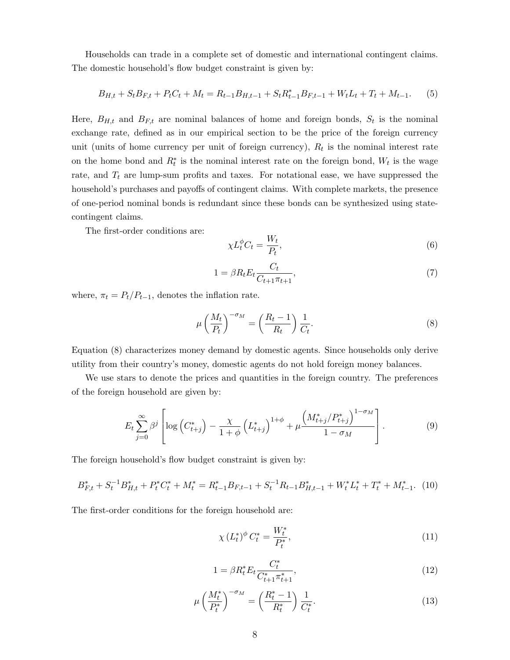Households can trade in a complete set of domestic and international contingent claims. The domestic household's flow budget constraint is given by:

$$
B_{H,t} + S_t B_{F,t} + P_t C_t + M_t = R_{t-1} B_{H,t-1} + S_t R_{t-1}^* B_{F,t-1} + W_t L_t + T_t + M_{t-1}.
$$
 (5)

Here,  $B_{H,t}$  and  $B_{F,t}$  are nominal balances of home and foreign bonds,  $S_t$  is the nominal exchange rate, defined as in our empirical section to be the price of the foreign currency unit (units of home currency per unit of foreign currency),  $R_t$  is the nominal interest rate on the home bond and  $R_t^*$  is the nominal interest rate on the foreign bond,  $W_t$  is the wage rate, and  $T_t$  are lump-sum profits and taxes. For notational ease, we have suppressed the household's purchases and payoffs of contingent claims. With complete markets, the presence of one-period nominal bonds is redundant since these bonds can be synthesized using statecontingent claims.

The first-order conditions are:

$$
\chi L_t^{\phi} C_t = \frac{W_t}{P_t},\tag{6}
$$

$$
1 = \beta R_t E_t \frac{C_t}{C_{t+1}\pi_{t+1}},\tag{7}
$$

where,  $\pi_t = P_t/P_{t-1}$ , denotes the inflation rate.

$$
\mu \left(\frac{M_t}{P_t}\right)^{-\sigma_M} = \left(\frac{R_t - 1}{R_t}\right) \frac{1}{C_t}.\tag{8}
$$

Equation (8) characterizes money demand by domestic agents. Since households only derive utility from their country's money, domestic agents do not hold foreign money balances.

We use stars to denote the prices and quantities in the foreign country. The preferences of the foreign household are given by:

$$
E_{t} \sum_{j=0}^{\infty} \beta^{j} \left[ \log \left( C_{t+j}^{*} \right) - \frac{\chi}{1+\phi} \left( L_{t+j}^{*} \right)^{1+\phi} + \mu \frac{\left( M_{t+j}^{*} / P_{t+j}^{*} \right)^{1-\sigma_{M}}}{1-\sigma_{M}} \right]. \tag{9}
$$

The foreign household's flow budget constraint is given by:

$$
B_{F,t}^* + S_t^{-1} B_{H,t}^* + P_t^* C_t^* + M_t^* = R_{t-1}^* B_{F,t-1} + S_t^{-1} R_{t-1} B_{H,t-1}^* + W_t^* L_t^* + T_t^* + M_{t-1}^*.
$$
 (10)

The first-order conditions for the foreign household are:

$$
\chi \left( L_t^* \right)^{\phi} C_t^* = \frac{W_t^*}{P_t^*},\tag{11}
$$

$$
1 = \beta R_t^* E_t \frac{C_t^*}{C_{t+1}^* \pi_{t+1}^*},\tag{12}
$$

$$
\mu \left(\frac{M_t^*}{P_t^*}\right)^{-\sigma_M} = \left(\frac{R_t^*-1}{R_t^*}\right) \frac{1}{C_t^*}.\tag{13}
$$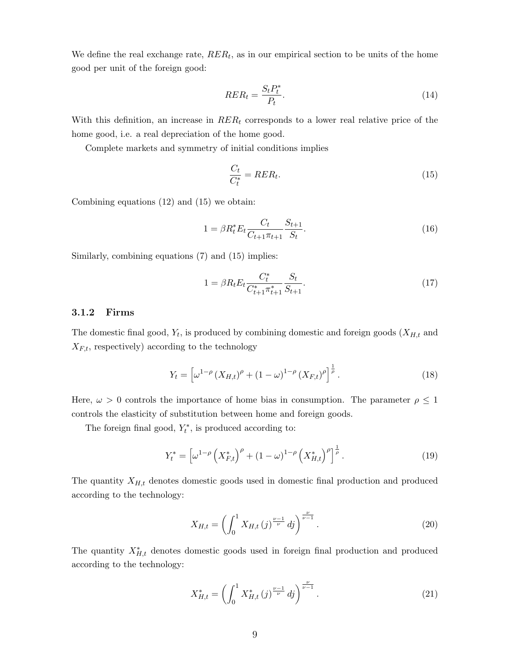We define the real exchange rate,  $RER_t$ , as in our empirical section to be units of the home good per unit of the foreign good:

$$
RER_t = \frac{S_t P_t^*}{P_t}.\tag{14}
$$

With this definition, an increase in  $RER_t$  corresponds to a lower real relative price of the home good, i.e. a real depreciation of the home good.

Complete markets and symmetry of initial conditions implies

$$
\frac{C_t}{C_t^*} = RER_t.
$$
\n<sup>(15)</sup>

Combining equations (12) and (15) we obtain:

$$
1 = \beta R_t^* E_t \frac{C_t}{C_{t+1} \pi_{t+1}} \frac{S_{t+1}}{S_t}.
$$
\n(16)

Similarly, combining equations (7) and (15) implies:

$$
1 = \beta R_t E_t \frac{C_t^*}{C_{t+1}^* \pi_{t+1}^*} \frac{S_t}{S_{t+1}}.
$$
\n(17)

#### 3.1.2 Firms

The domestic final good,  $Y_t$ , is produced by combining domestic and foreign goods  $(X_{H,t}$  and  $X_{F,t}$ , respectively) according to the technology

$$
Y_t = \left[ \omega^{1-\rho} \left( X_{H,t} \right)^{\rho} + (1 - \omega)^{1-\rho} \left( X_{F,t} \right)^{\rho} \right]^{\frac{1}{\rho}}.
$$
 (18)

Here,  $\omega > 0$  controls the importance of home bias in consumption. The parameter  $\rho \leq 1$ controls the elasticity of substitution between home and foreign goods.

The foreign final good,  $Y_t^*$ , is produced according to:

$$
Y_t^* = \left[\omega^{1-\rho} \left(X_{F,t}^*\right)^{\rho} + (1-\omega)^{1-\rho} \left(X_{H,t}^*\right)^{\rho}\right]^{\frac{1}{\rho}}.
$$
\n(19)

The quantity  $X_{H,t}$  denotes domestic goods used in domestic final production and produced according to the technology:

$$
X_{H,t} = \left(\int_0^1 X_{H,t}(j)^{\frac{\nu-1}{\nu}} \, dj\right)^{\frac{\nu}{\nu-1}}.\tag{20}
$$

The quantity  $X_{H,t}^*$  denotes domestic goods used in foreign final production and produced according to the technology:

$$
X_{H,t}^* = \left(\int_0^1 X_{H,t}^*(j)^{\frac{\nu-1}{\nu}} \, dj\right)^{\frac{\nu}{\nu-1}}.\tag{21}
$$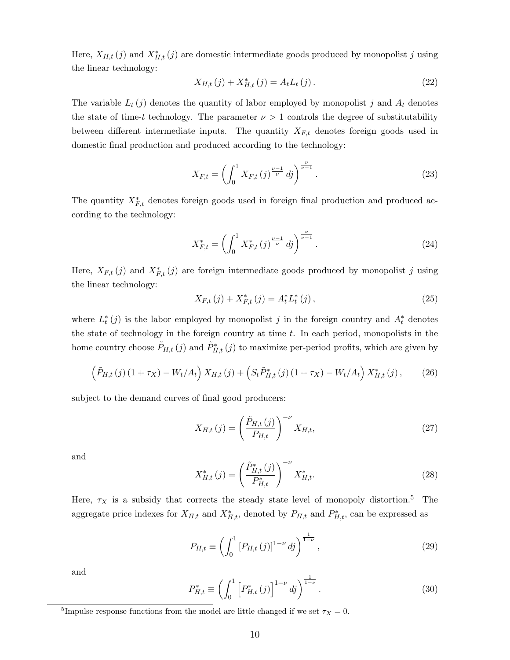Here,  $X_{H,t}(j)$  and  $X_{H,t}^*(j)$  are domestic intermediate goods produced by monopolist j using the linear technology:

$$
X_{H,t}(j) + X_{H,t}^*(j) = A_t L_t(j).
$$
\n(22)

The variable  $L_t(j)$  denotes the quantity of labor employed by monopolist j and  $A_t$  denotes the state of time-t technology. The parameter  $\nu > 1$  controls the degree of substitutability between different intermediate inputs. The quantity  $X_{F,t}$  denotes foreign goods used in domestic final production and produced according to the technology:

$$
X_{F,t} = \left(\int_0^1 X_{F,t}(j)^{\frac{\nu-1}{\nu}} \, dj\right)^{\frac{\nu}{\nu-1}}.\tag{23}
$$

The quantity  $X_{F,t}^*$  denotes foreign goods used in foreign final production and produced according to the technology:

$$
X_{F,t}^* = \left(\int_0^1 X_{F,t}^*(j)^{\frac{\nu-1}{\nu}} \, dj\right)^{\frac{\nu}{\nu-1}}.\tag{24}
$$

Here,  $X_{F,t}(j)$  and  $X_{F,t}^*(j)$  are foreign intermediate goods produced by monopolist j using the linear technology:

$$
X_{F,t}(j) + X_{F,t}^*(j) = A_t^* L_t^*(j), \qquad (25)
$$

where  $L_t^*(j)$  is the labor employed by monopolist j in the foreign country and  $A_t^*$  denotes the state of technology in the foreign country at time  $t$ . In each period, monopolists in the home country choose  $\tilde{P}_{H,t}(j)$  and  $\tilde{P}_{H,t}^*(j)$  to maximize per-period profits, which are given by

$$
\left(\tilde{P}_{H,t}(j)(1+\tau_X) - W_t/A_t\right)X_{H,t}(j) + \left(S_t\tilde{P}_{H,t}^*(j)(1+\tau_X) - W_t/A_t\right)X_{H,t}^*(j),\tag{26}
$$

subject to the demand curves of final good producers:

$$
X_{H,t}(j) = \left(\frac{\tilde{P}_{H,t}(j)}{P_{H,t}}\right)^{-\nu} X_{H,t},\tag{27}
$$

and

$$
X_{H,t}^*(j) = \left(\frac{\tilde{P}_{H,t}^*(j)}{P_{H,t}^*}\right)^{-\nu} X_{H,t}^*.
$$
\n(28)

Here,  $\tau_X$  is a subsidy that corrects the steady state level of monopoly distortion.<sup>5</sup> The aggregate price indexes for  $X_{H,t}$  and  $X_{H,t}^*$ , denoted by  $P_{H,t}$  and  $P_{H,t}^*$ , can be expressed as

$$
P_{H,t} \equiv \left( \int_0^1 \left[ P_{H,t} \left( j \right) \right]^{1-\nu} \, dj \right)^{\frac{1}{1-\nu}},\tag{29}
$$

and

$$
P_{H,t}^{*} \equiv \left( \int_{0}^{1} \left[ P_{H,t}^{*} \left( j \right) \right]^{1-\nu} dj \right)^{\frac{1}{1-\nu}}.
$$
\n(30)

<sup>&</sup>lt;sup>5</sup>Impulse response functions from the model are little changed if we set  $\tau_X = 0$ .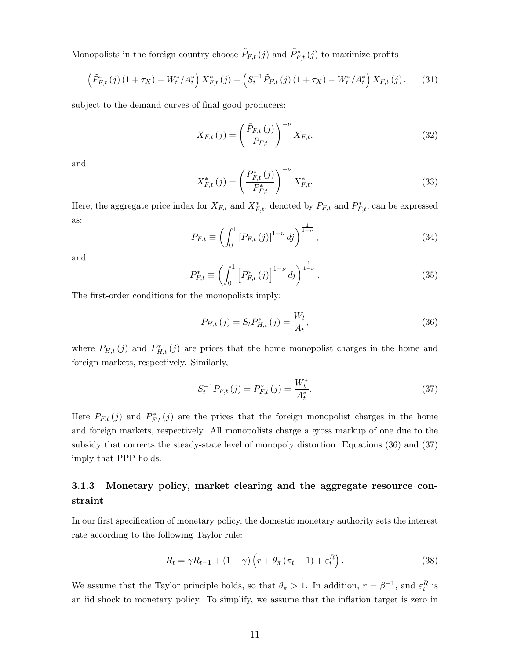Monopolists in the foreign country choose  $\tilde{P}_{F,t}(j)$  and  $\tilde{P}_{F,t}^{*}(j)$  to maximize profits

$$
\left(\tilde{P}_{F,t}^*(j)(1+\tau_X) - W_t^*/A_t^*\right)X_{F,t}^*(j) + \left(S_t^{-1}\tilde{P}_{F,t}(j)(1+\tau_X) - W_t^*/A_t^*\right)X_{F,t}(j). \tag{31}
$$

subject to the demand curves of final good producers:

$$
X_{F,t}(j) = \left(\frac{\tilde{P}_{F,t}(j)}{P_{F,t}}\right)^{-\nu} X_{F,t},\tag{32}
$$

and

$$
X_{F,t}^*(j) = \left(\frac{\tilde{P}_{F,t}^*(j)}{P_{F,t}^*}\right)^{-\nu} X_{F,t}^*.
$$
\n(33)

Here, the aggregate price index for  $X_{F,t}$  and  $X_{F,t}^*$ , denoted by  $P_{F,t}$  and  $P_{F,t}^*$ , can be expressed as:

$$
P_{F,t} \equiv \left( \int_0^1 \left[ P_{F,t} \left( j \right) \right]^{1-\nu} dj \right)^{\frac{1}{1-\nu}}, \tag{34}
$$

and

$$
P_{F,t}^{*} \equiv \left(\int_{0}^{1} \left[ P_{F,t}^{*} \left( j \right) \right]^{1-\nu} dj \right)^{\frac{1}{1-\nu}}.
$$
\n(35)

The first-order conditions for the monopolists imply:

$$
P_{H,t}(j) = S_t P_{H,t}^*(j) = \frac{W_t}{A_t},
$$
\n(36)

where  $P_{H,t}(j)$  and  $P_{H,t}^{*}(j)$  are prices that the home monopolist charges in the home and foreign markets, respectively. Similarly,

$$
S_t^{-1}P_{F,t}(j) = P_{F,t}^*(j) = \frac{W_t^*}{A_t^*}.
$$
\n(37)

Here  $P_{F,t}(j)$  and  $P_{F,t}^*(j)$  are the prices that the foreign monopolist charges in the home and foreign markets, respectively. All monopolists charge a gross markup of one due to the subsidy that corrects the steady-state level of monopoly distortion. Equations (36) and (37) imply that PPP holds.

## 3.1.3 Monetary policy, market clearing and the aggregate resource constraint

In our first specification of monetary policy, the domestic monetary authority sets the interest rate according to the following Taylor rule:

$$
R_t = \gamma R_{t-1} + (1 - \gamma) \left( r + \theta_\pi \left( \pi_t - 1 \right) + \varepsilon_t^R \right). \tag{38}
$$

We assume that the Taylor principle holds, so that  $\theta_{\pi} > 1$ . In addition,  $r = \beta^{-1}$ , and  $\varepsilon_t^R$  is an iid shock to monetary policy. To simplify, we assume that the inflation target is zero in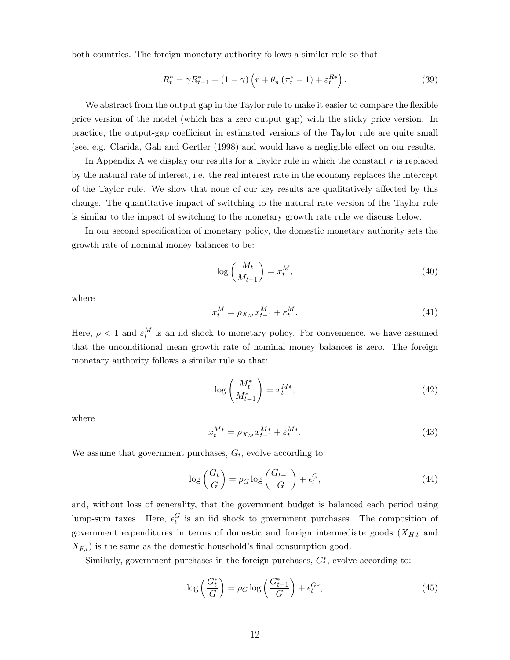both countries. The foreign monetary authority follows a similar rule so that:

$$
R_t^* = \gamma R_{t-1}^* + (1 - \gamma) \left( r + \theta_\pi \left( \pi_t^* - 1 \right) + \varepsilon_t^{R*} \right). \tag{39}
$$

We abstract from the output gap in the Taylor rule to make it easier to compare the flexible price version of the model (which has a zero output gap) with the sticky price version. In practice, the output-gap coefficient in estimated versions of the Taylor rule are quite small (see, e.g. Clarida, Gali and Gertler (1998) and would have a negligible effect on our results.

In Appendix A we display our results for a Taylor rule in which the constant  $r$  is replaced by the natural rate of interest, i.e. the real interest rate in the economy replaces the intercept of the Taylor rule. We show that none of our key results are qualitatively affected by this change. The quantitative impact of switching to the natural rate version of the Taylor rule is similar to the impact of switching to the monetary growth rate rule we discuss below.

In our second specification of monetary policy, the domestic monetary authority sets the growth rate of nominal money balances to be:

$$
\log\left(\frac{M_t}{M_{t-1}}\right) = x_t^M,\tag{40}
$$

where

$$
x_t^M = \rho_{X_M} x_{t-1}^M + \varepsilon_t^M. \tag{41}
$$

Here,  $\rho < 1$  and  $\varepsilon_t^M$  is an iid shock to monetary policy. For convenience, we have assumed that the unconditional mean growth rate of nominal money balances is zero. The foreign monetary authority follows a similar rule so that:

$$
\log\left(\frac{M_t^*}{M_{t-1}^*}\right) = x_t^{M*},\tag{42}
$$

where

$$
x_t^{M*} = \rho_{X_M} x_{t-1}^{M*} + \varepsilon_t^{M*}.
$$
\n(43)

We assume that government purchases,  $G_t$ , evolve according to:

$$
\log\left(\frac{G_t}{G}\right) = \rho_G \log\left(\frac{G_{t-1}}{G}\right) + \epsilon_t^G,\tag{44}
$$

and, without loss of generality, that the government budget is balanced each period using lump-sum taxes. Here,  $\epsilon_t^G$  is an iid shock to government purchases. The composition of government expenditures in terms of domestic and foreign intermediate goods  $(X_{H,t}$  and  $X_{F,t}$ ) is the same as the domestic household's final consumption good.

Similarly, government purchases in the foreign purchases,  $G_t^*$ , evolve according to:

$$
\log\left(\frac{G_t^*}{G}\right) = \rho_G \log\left(\frac{G_{t-1}^*}{G}\right) + \epsilon_t^{G*},\tag{45}
$$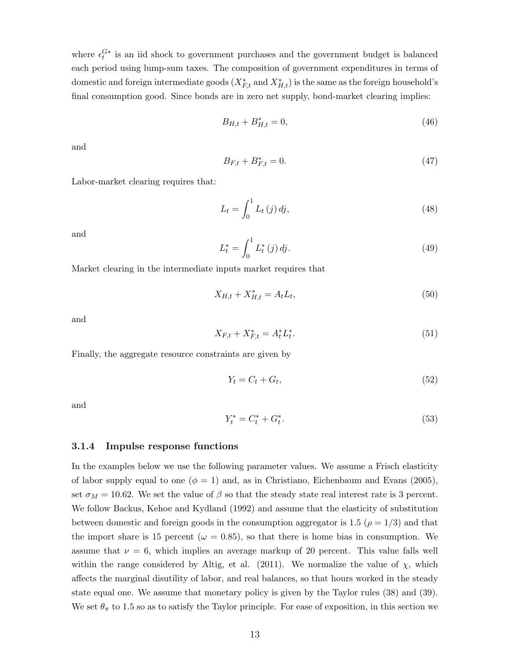where  $\epsilon_t^{G*}$  is an iid shock to government purchases and the government budget is balanced each period using lump-sum taxes. The composition of government expenditures in terms of domestic and foreign intermediate goods  $(X_{F,t}^*$  and  $X_{H,t}^*)$  is the same as the foreign household's final consumption good. Since bonds are in zero net supply, bond-market clearing implies:

$$
B_{H,t} + B_{H,t}^* = 0,\t\t(46)
$$

and

$$
B_{F,t} + B_{F,t}^* = 0.\t\t(47)
$$

Labor-market clearing requires that:

$$
L_t = \int_0^1 L_t(j) \, dj,\tag{48}
$$

and

$$
L_t^* = \int_0^1 L_t^*(j) \, dj. \tag{49}
$$

Market clearing in the intermediate inputs market requires that

$$
X_{H,t} + X_{H,t}^* = A_t L_t,\t\t(50)
$$

and

$$
X_{F,t} + X_{F,t}^* = A_t^* L_t^*.
$$
\n(51)

Finally, the aggregate resource constraints are given by

$$
Y_t = C_t + G_t,\tag{52}
$$

and

$$
Y_t^* = C_t^* + G_t^*.
$$
\n(53)

#### 3.1.4 Impulse response functions

In the examples below we use the following parameter values. We assume a Frisch elasticity of labor supply equal to one  $(\phi = 1)$  and, as in Christiano, Eichenbaum and Evans (2005), set  $\sigma_M = 10.62$ . We set the value of  $\beta$  so that the steady state real interest rate is 3 percent. We follow Backus, Kehoe and Kydland (1992) and assume that the elasticity of substitution between domestic and foreign goods in the consumption aggregator is 1.5 ( $\rho = 1/3$ ) and that the import share is 15 percent ( $\omega = 0.85$ ), so that there is home bias in consumption. We assume that  $\nu = 6$ , which implies an average markup of 20 percent. This value falls well within the range considered by Altig, et al. (2011). We normalize the value of  $\chi$ , which affects the marginal disutility of labor, and real balances, so that hours worked in the steady state equal one. We assume that monetary policy is given by the Taylor rules (38) and (39). We set  $\theta_{\pi}$  to 1.5 so as to satisfy the Taylor principle. For ease of exposition, in this section we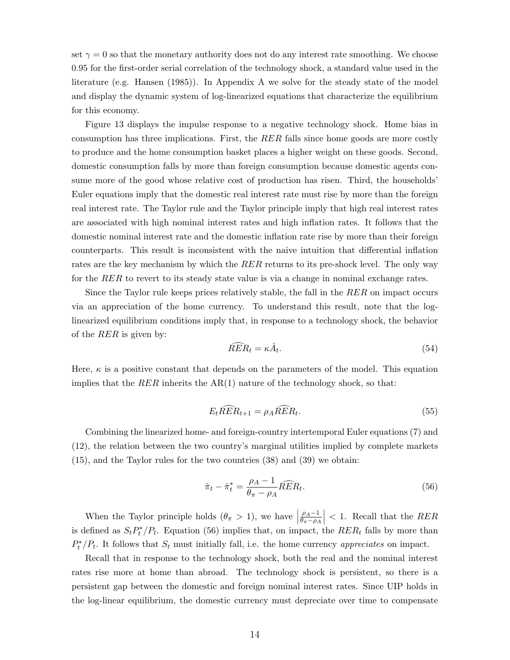set  $\gamma = 0$  so that the monetary authority does not do any interest rate smoothing. We choose 0.95 for the first-order serial correlation of the technology shock, a standard value used in the literature (e.g. Hansen (1985)). In Appendix A we solve for the steady state of the model and display the dynamic system of log-linearized equations that characterize the equilibrium for this economy.

Figure 13 displays the impulse response to a negative technology shock. Home bias in consumption has three implications. First, the RER falls since home goods are more costly to produce and the home consumption basket places a higher weight on these goods. Second, domestic consumption falls by more than foreign consumption because domestic agents consume more of the good whose relative cost of production has risen. Third, the households' Euler equations imply that the domestic real interest rate must rise by more than the foreign real interest rate. The Taylor rule and the Taylor principle imply that high real interest rates are associated with high nominal interest rates and high inflation rates. It follows that the domestic nominal interest rate and the domestic inflation rate rise by more than their foreign counterparts. This result is inconsistent with the naive intuition that differential inflation rates are the key mechanism by which the RER returns to its pre-shock level. The only way for the RER to revert to its steady state value is via a change in nominal exchange rates.

Since the Taylor rule keeps prices relatively stable, the fall in the RER on impact occurs via an appreciation of the home currency. To understand this result, note that the loglinearized equilibrium conditions imply that, in response to a technology shock, the behavior of the RER is given by:

$$
\widehat{RER}_t = \kappa \hat{A}_t. \tag{54}
$$

Here,  $\kappa$  is a positive constant that depends on the parameters of the model. This equation implies that the RER inherits the  $AR(1)$  nature of the technology shock, so that:

$$
E_t \widehat{R} \widehat{E} R_{t+1} = \rho_A \widehat{R} \widehat{E} R_t. \tag{55}
$$

Combining the linearized home- and foreign-country intertemporal Euler equations (7) and (12), the relation between the two country's marginal utilities implied by complete markets (15), and the Taylor rules for the two countries (38) and (39) we obtain:

$$
\hat{\pi}_t - \hat{\pi}_t^* = \frac{\rho_A - 1}{\theta_\pi - \rho_A} \widehat{RER}_t.
$$
\n(56)

When the Taylor principle holds  $(\theta_{\pi} > 1)$ , we have  $\rho_A-1$  $\overline{\theta_\pi-\rho_A}$  $\vert$  < 1. Recall that the *RER* is defined as  $S_t P_t^* / P_t$ . Equation (56) implies that, on impact, the  $RER_t$  falls by more than  $P_t^*/P_t$ . It follows that  $S_t$  must initially fall, i.e. the home currency appreciates on impact.

Recall that in response to the technology shock, both the real and the nominal interest rates rise more at home than abroad. The technology shock is persistent, so there is a persistent gap between the domestic and foreign nominal interest rates. Since UIP holds in the log-linear equilibrium, the domestic currency must depreciate over time to compensate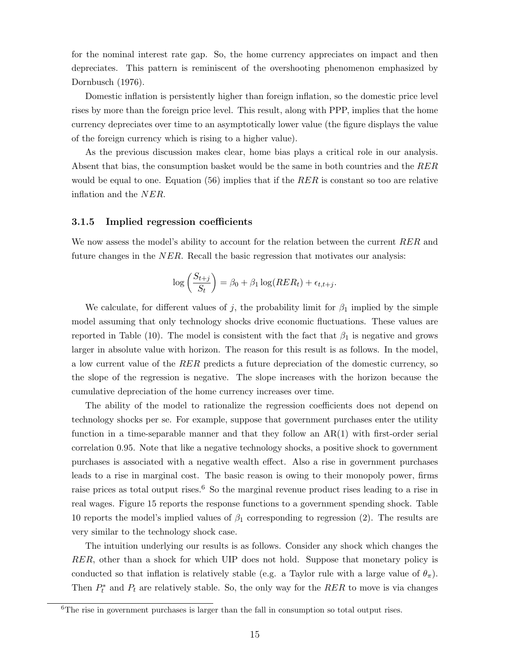for the nominal interest rate gap. So, the home currency appreciates on impact and then depreciates. This pattern is reminiscent of the overshooting phenomenon emphasized by Dornbusch (1976).

Domestic inflation is persistently higher than foreign inflation, so the domestic price level rises by more than the foreign price level. This result, along with PPP, implies that the home currency depreciates over time to an asymptotically lower value (the figure displays the value of the foreign currency which is rising to a higher value).

As the previous discussion makes clear, home bias plays a critical role in our analysis. Absent that bias, the consumption basket would be the same in both countries and the RER would be equal to one. Equation (56) implies that if the  $RER$  is constant so too are relative inflation and the NER.

#### 3.1.5 Implied regression coefficients

We now assess the model's ability to account for the relation between the current RER and future changes in the NER. Recall the basic regression that motivates our analysis:

$$
\log\left(\frac{S_{t+j}}{S_t}\right) = \beta_0 + \beta_1 \log(RER_t) + \epsilon_{t,t+j}.
$$

We calculate, for different values of j, the probability limit for  $\beta_1$  implied by the simple model assuming that only technology shocks drive economic fluctuations. These values are reported in Table (10). The model is consistent with the fact that  $\beta_1$  is negative and grows larger in absolute value with horizon. The reason for this result is as follows. In the model, a low current value of the RER predicts a future depreciation of the domestic currency, so the slope of the regression is negative. The slope increases with the horizon because the cumulative depreciation of the home currency increases over time.

The ability of the model to rationalize the regression coefficients does not depend on technology shocks per se. For example, suppose that government purchases enter the utility function in a time-separable manner and that they follow an  $AR(1)$  with first-order serial correlation 0.95. Note that like a negative technology shocks, a positive shock to government purchases is associated with a negative wealth effect. Also a rise in government purchases leads to a rise in marginal cost. The basic reason is owing to their monopoly power, firms raise prices as total output rises.<sup>6</sup> So the marginal revenue product rises leading to a rise in real wages. Figure 15 reports the response functions to a government spending shock. Table 10 reports the model's implied values of  $\beta_1$  corresponding to regression (2). The results are very similar to the technology shock case.

The intuition underlying our results is as follows. Consider any shock which changes the RER, other than a shock for which UIP does not hold. Suppose that monetary policy is conducted so that inflation is relatively stable (e.g. a Taylor rule with a large value of  $\theta_{\pi}$ ). Then  $P_t^*$  and  $P_t$  are relatively stable. So, the only way for the RER to move is via changes

 $6$ The rise in government purchases is larger than the fall in consumption so total output rises.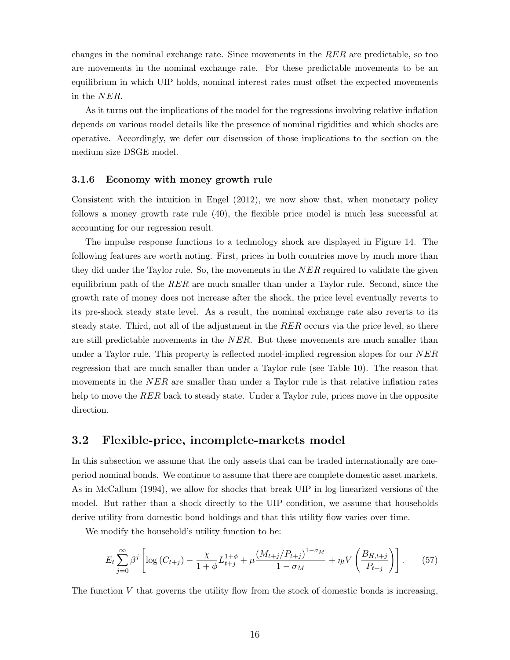changes in the nominal exchange rate. Since movements in the  $RER$  are predictable, so too are movements in the nominal exchange rate. For these predictable movements to be an equilibrium in which UIP holds, nominal interest rates must offset the expected movements in the NER.

As it turns out the implications of the model for the regressions involving relative inflation depends on various model details like the presence of nominal rigidities and which shocks are operative. Accordingly, we defer our discussion of those implications to the section on the medium size DSGE model.

#### 3.1.6 Economy with money growth rule

Consistent with the intuition in Engel (2012), we now show that, when monetary policy follows a money growth rate rule (40), the flexible price model is much less successful at accounting for our regression result.

The impulse response functions to a technology shock are displayed in Figure 14. The following features are worth noting. First, prices in both countries move by much more than they did under the Taylor rule. So, the movements in the  $NER$  required to validate the given equilibrium path of the  $RER$  are much smaller than under a Taylor rule. Second, since the growth rate of money does not increase after the shock, the price level eventually reverts to its pre-shock steady state level. As a result, the nominal exchange rate also reverts to its steady state. Third, not all of the adjustment in the RER occurs via the price level, so there are still predictable movements in the NER. But these movements are much smaller than under a Taylor rule. This property is reflected model-implied regression slopes for our NER regression that are much smaller than under a Taylor rule (see Table 10). The reason that movements in the NER are smaller than under a Taylor rule is that relative inflation rates help to move the RER back to steady state. Under a Taylor rule, prices move in the opposite direction.

### 3.2 Flexible-price, incomplete-markets model

In this subsection we assume that the only assets that can be traded internationally are oneperiod nominal bonds. We continue to assume that there are complete domestic asset markets. As in McCallum (1994), we allow for shocks that break UIP in log-linearized versions of the model. But rather than a shock directly to the UIP condition, we assume that households derive utility from domestic bond holdings and that this utility flow varies over time.

We modify the household's utility function to be:

$$
E_t \sum_{j=0}^{\infty} \beta^j \left[ \log \left( C_{t+j} \right) - \frac{\chi}{1+\phi} L_{t+j}^{1+\phi} + \mu \frac{\left( M_{t+j}/P_{t+j} \right)^{1-\sigma_M}}{1-\sigma_M} + \eta_t V \left( \frac{B_{H,t+j}}{P_{t+j}} \right) \right]. \tag{57}
$$

The function  $V$  that governs the utility flow from the stock of domestic bonds is increasing,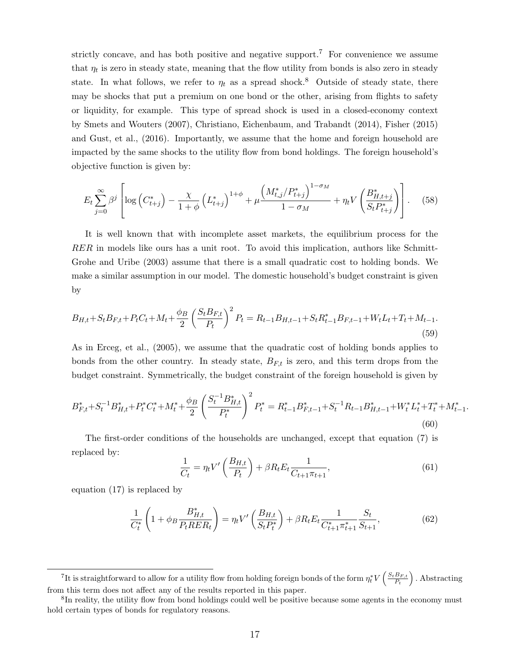strictly concave, and has both positive and negative support.<sup>7</sup> For convenience we assume that  $\eta_t$  is zero in steady state, meaning that the flow utility from bonds is also zero in steady state. In what follows, we refer to  $\eta_t$  as a spread shock.<sup>8</sup> Outside of steady state, there may be shocks that put a premium on one bond or the other, arising from flights to safety or liquidity, for example. This type of spread shock is used in a closed-economy context by Smets and Wouters (2007), Christiano, Eichenbaum, and Trabandt (2014), Fisher (2015) and Gust, et al., (2016). Importantly, we assume that the home and foreign household are impacted by the same shocks to the utility flow from bond holdings. The foreign household's objective function is given by:

$$
E_t \sum_{j=0}^{\infty} \beta^j \left[ \log \left( C_{t+j}^* \right) - \frac{\chi}{1+\phi} \left( L_{t+j}^* \right)^{1+\phi} + \mu \frac{\left( M_{t,j}^* / P_{t+j}^* \right)^{1-\sigma_M}}{1-\sigma_M} + \eta_t V \left( \frac{B_{H,t+j}^*}{S_t P_{t+j}^*} \right) \right]. \tag{58}
$$

It is well known that with incomplete asset markets, the equilibrium process for the RER in models like ours has a unit root. To avoid this implication, authors like Schmitt-Grohe and Uribe (2003) assume that there is a small quadratic cost to holding bonds. We make a similar assumption in our model. The domestic household's budget constraint is given by

$$
B_{H,t} + S_t B_{F,t} + P_t C_t + M_t + \frac{\phi_B}{2} \left(\frac{S_t B_{F,t}}{P_t}\right)^2 P_t = R_{t-1} B_{H,t-1} + S_t R_{t-1}^* B_{F,t-1} + W_t L_t + T_t + M_{t-1}.
$$
\n
$$
(59)
$$

As in Erceg, et al., (2005), we assume that the quadratic cost of holding bonds applies to bonds from the other country. In steady state,  $B_{F,t}$  is zero, and this term drops from the budget constraint. Symmetrically, the budget constraint of the foreign household is given by

$$
B_{F,t}^* + S_t^{-1} B_{H,t}^* + P_t^* C_t^* + M_t^* + \frac{\phi_B}{2} \left( \frac{S_t^{-1} B_{H,t}^*}{P_t^*} \right)^2 P_t^* = R_{t-1}^* B_{F,t-1}^* + S_t^{-1} R_{t-1} B_{H,t-1}^* + W_t^* L_t^* + T_t^* + M_{t-1}^* \tag{60}
$$

The first-order conditions of the households are unchanged, except that equation (7) is replaced by:

$$
\frac{1}{C_t} = \eta_t V' \left( \frac{B_{H,t}}{P_t} \right) + \beta R_t E_t \frac{1}{C_{t+1} \pi_{t+1}},\tag{61}
$$

.

equation (17) is replaced by

$$
\frac{1}{C_t^*} \left( 1 + \phi_B \frac{B_{H,t}^*}{P_t R E R_t} \right) = \eta_t V' \left( \frac{B_{H,t}}{S_t P_t^*} \right) + \beta R_t E_t \frac{1}{C_{t+1}^* \pi_{t+1}^*} \frac{S_t}{S_{t+1}},\tag{62}
$$

<sup>&</sup>lt;sup>7</sup>It is straightforward to allow for a utility flow from holding foreign bonds of the form  $\eta_t^* V\left(\frac{S_t B_{F,t}}{P_t}\right)$  $\frac{B_{F,t}}{P_t}$ ). Abstracting from this term does not affect any of the results reported in this paper.

<sup>&</sup>lt;sup>8</sup>In reality, the utility flow from bond holdings could well be positive because some agents in the economy must hold certain types of bonds for regulatory reasons.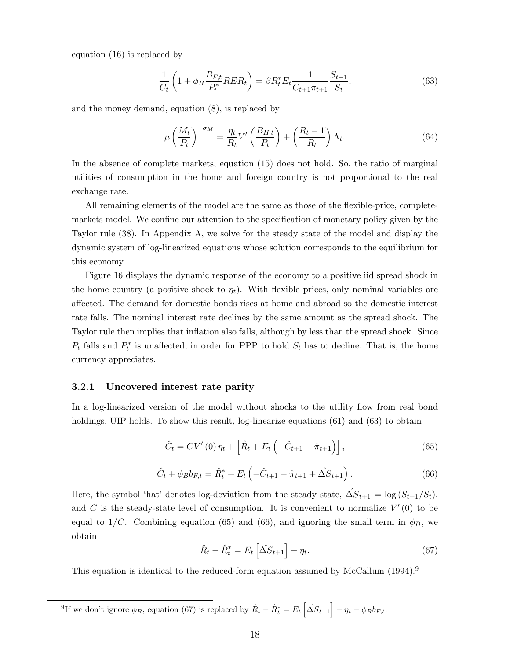equation (16) is replaced by

$$
\frac{1}{C_t} \left( 1 + \phi_B \frac{B_{F,t}}{P_t^*} R E R_t \right) = \beta R_t^* E_t \frac{1}{C_{t+1} \pi_{t+1}} \frac{S_{t+1}}{S_t},\tag{63}
$$

and the money demand, equation (8), is replaced by

$$
\mu \left(\frac{M_t}{P_t}\right)^{-\sigma_M} = \frac{\eta_t}{R_t} V' \left(\frac{B_{H,t}}{P_t}\right) + \left(\frac{R_t - 1}{R_t}\right) \Lambda_t.
$$
\n(64)

In the absence of complete markets, equation (15) does not hold. So, the ratio of marginal utilities of consumption in the home and foreign country is not proportional to the real exchange rate.

All remaining elements of the model are the same as those of the flexible-price, completemarkets model. We confine our attention to the specification of monetary policy given by the Taylor rule (38). In Appendix A, we solve for the steady state of the model and display the dynamic system of log-linearized equations whose solution corresponds to the equilibrium for this economy.

Figure 16 displays the dynamic response of the economy to a positive iid spread shock in the home country (a positive shock to  $\eta_t$ ). With flexible prices, only nominal variables are affected. The demand for domestic bonds rises at home and abroad so the domestic interest rate falls. The nominal interest rate declines by the same amount as the spread shock. The Taylor rule then implies that inflation also falls, although by less than the spread shock. Since  $P_t$  falls and  $P_t^*$  is unaffected, in order for PPP to hold  $S_t$  has to decline. That is, the home currency appreciates.

#### 3.2.1 Uncovered interest rate parity

In a log-linearized version of the model without shocks to the utility flow from real bond holdings, UIP holds. To show this result, log-linearize equations (61) and (63) to obtain

$$
\hat{C}_t = CV'(0)\,\eta_t + \left[\hat{R}_t + E_t\left(-\hat{C}_{t+1} - \hat{\pi}_{t+1}\right)\right],\tag{65}
$$

$$
\hat{C}_t + \phi_B b_{F,t} = \hat{R}_t^* + E_t \left( -\hat{C}_{t+1} - \hat{\pi}_{t+1} + \hat{\Delta S}_{t+1} \right). \tag{66}
$$

Here, the symbol 'hat' denotes log-deviation from the steady state,  $\Delta S_{t+1} = \log (S_{t+1}/S_t)$ , and C is the steady-state level of consumption. It is convenient to normalize  $V'(0)$  to be equal to  $1/C$ . Combining equation (65) and (66), and ignoring the small term in  $\phi_B$ , we obtain

$$
\hat{R}_t - \hat{R}_t^* = E_t \left[ \Delta S_{t+1} \right] - \eta_t. \tag{67}
$$

This equation is identical to the reduced-form equation assumed by McCallum (1994).<sup>9</sup>

<sup>9</sup>If we don't ignore  $\phi_B$ , equation (67) is replaced by  $\hat{R}_t - \hat{R}_t^* = E_t \left[ \Delta S_{t+1} \right] - \eta_t - \phi_B b_{F,t}$ .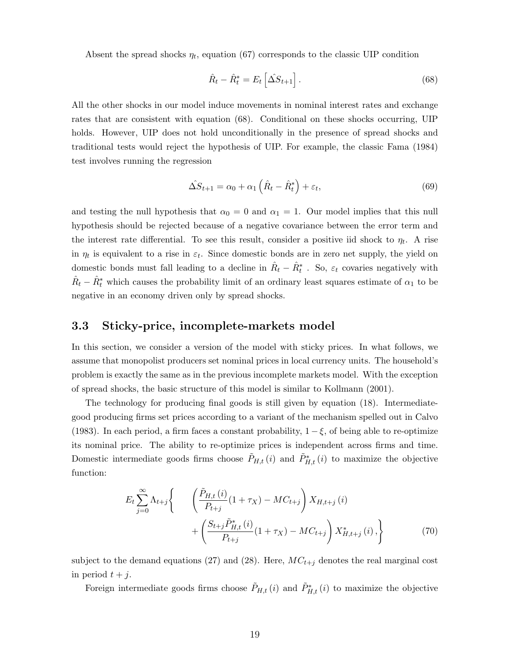Absent the spread shocks  $\eta_t$ , equation (67) corresponds to the classic UIP condition

$$
\hat{R}_t - \hat{R}_t^* = E_t \left[ \Delta S_{t+1} \right]. \tag{68}
$$

All the other shocks in our model induce movements in nominal interest rates and exchange rates that are consistent with equation (68). Conditional on these shocks occurring, UIP holds. However, UIP does not hold unconditionally in the presence of spread shocks and traditional tests would reject the hypothesis of UIP. For example, the classic Fama (1984) test involves running the regression

$$
\hat{\Delta S}_{t+1} = \alpha_0 + \alpha_1 \left( \hat{R}_t - \hat{R}_t^* \right) + \varepsilon_t, \tag{69}
$$

and testing the null hypothesis that  $\alpha_0 = 0$  and  $\alpha_1 = 1$ . Our model implies that this null hypothesis should be rejected because of a negative covariance between the error term and the interest rate differential. To see this result, consider a positive iid shock to  $\eta_t$ . A rise in  $\eta_t$  is equivalent to a rise in  $\varepsilon_t$ . Since domestic bonds are in zero net supply, the yield on domestic bonds must fall leading to a decline in  $\hat{R}_t - \hat{R}_t^*$ . So,  $\varepsilon_t$  covaries negatively with  $\hat{R}_t - \hat{R}_t^*$  which causes the probability limit of an ordinary least squares estimate of  $\alpha_1$  to be negative in an economy driven only by spread shocks.

## 3.3 Sticky-price, incomplete-markets model

In this section, we consider a version of the model with sticky prices. In what follows, we assume that monopolist producers set nominal prices in local currency units. The household's problem is exactly the same as in the previous incomplete markets model. With the exception of spread shocks, the basic structure of this model is similar to Kollmann (2001).

The technology for producing final goods is still given by equation (18). Intermediategood producing firms set prices according to a variant of the mechanism spelled out in Calvo (1983). In each period, a firm faces a constant probability,  $1 - \xi$ , of being able to re-optimize its nominal price. The ability to re-optimize prices is independent across firms and time. Domestic intermediate goods firms choose  $\tilde{P}_{H,t}(i)$  and  $\tilde{P}_{H,t}^*(i)$  to maximize the objective function:

$$
E_{t} \sum_{j=0}^{\infty} \Lambda_{t+j} \left\{ \begin{array}{c} \left( \frac{\tilde{P}_{H,t}(i)}{P_{t+j}} (1 + \tau_X) - MC_{t+j} \right) X_{H,t+j}(i) \\ + \left( \frac{S_{t+j} \tilde{P}_{H,t}^{*}(i)}{P_{t+j}} (1 + \tau_X) - MC_{t+j} \right) X_{H,t+j}^{*}(i) \end{array} \right\}
$$
(70)

subject to the demand equations (27) and (28). Here,  $MC_{t+j}$  denotes the real marginal cost in period  $t + j$ .

Foreign intermediate goods firms choose  $\tilde{P}_{H,t}(i)$  and  $\tilde{P}_{H,t}^*(i)$  to maximize the objective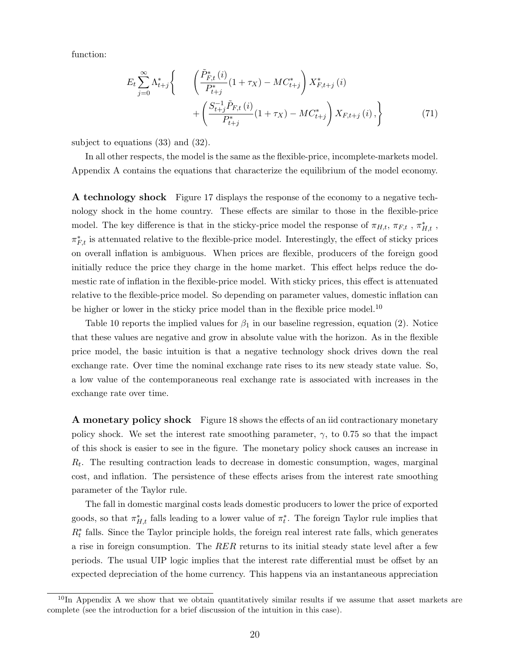function:

$$
E_{t} \sum_{j=0}^{\infty} \Lambda_{t+j}^{*} \left\{ \begin{array}{c} \left( \frac{\tilde{P}_{F,t}^{*}(i)}{P_{t+j}^{*}} (1 + \tau_{X}) - MC_{t+j}^{*} \right) X_{F,t+j}^{*}(i) \\ + \left( \frac{S_{t+j}^{-1} \tilde{P}_{F,t} (i)}{P_{t+j}^{*}} (1 + \tau_{X}) - MC_{t+j}^{*} \right) X_{F,t+j} (i), \end{array} \right\}
$$
(71)

subject to equations (33) and (32).

In all other respects, the model is the same as the flexible-price, incomplete-markets model. Appendix A contains the equations that characterize the equilibrium of the model economy.

A technology shock Figure 17 displays the response of the economy to a negative technology shock in the home country. These effects are similar to those in the flexible-price model. The key difference is that in the sticky-price model the response of  $\pi_{H,t}$ ,  $\pi_{F,t}$ ,  $\pi_{H,t}^*$ ,  $\pi_{F,t}^*$  is attenuated relative to the flexible-price model. Interestingly, the effect of sticky prices on overall inflation is ambiguous. When prices are flexible, producers of the foreign good initially reduce the price they charge in the home market. This effect helps reduce the domestic rate of inflation in the flexible-price model. With sticky prices, this effect is attenuated relative to the flexible-price model. So depending on parameter values, domestic inflation can be higher or lower in the sticky price model than in the flexible price model.<sup>10</sup>

Table 10 reports the implied values for  $\beta_1$  in our baseline regression, equation (2). Notice that these values are negative and grow in absolute value with the horizon. As in the flexible price model, the basic intuition is that a negative technology shock drives down the real exchange rate. Over time the nominal exchange rate rises to its new steady state value. So, a low value of the contemporaneous real exchange rate is associated with increases in the exchange rate over time.

A monetary policy shock Figure 18 shows the effects of an iid contractionary monetary policy shock. We set the interest rate smoothing parameter,  $\gamma$ , to 0.75 so that the impact of this shock is easier to see in the figure. The monetary policy shock causes an increase in  $R_t$ . The resulting contraction leads to decrease in domestic consumption, wages, marginal cost, and inflation. The persistence of these effects arises from the interest rate smoothing parameter of the Taylor rule.

The fall in domestic marginal costs leads domestic producers to lower the price of exported goods, so that  $\pi_{H,t}^*$  falls leading to a lower value of  $\pi_t^*$ . The foreign Taylor rule implies that  $R_t^*$  falls. Since the Taylor principle holds, the foreign real interest rate falls, which generates a rise in foreign consumption. The RER returns to its initial steady state level after a few periods. The usual UIP logic implies that the interest rate differential must be offset by an expected depreciation of the home currency. This happens via an instantaneous appreciation

 $10$ In Appendix A we show that we obtain quantitatively similar results if we assume that asset markets are complete (see the introduction for a brief discussion of the intuition in this case).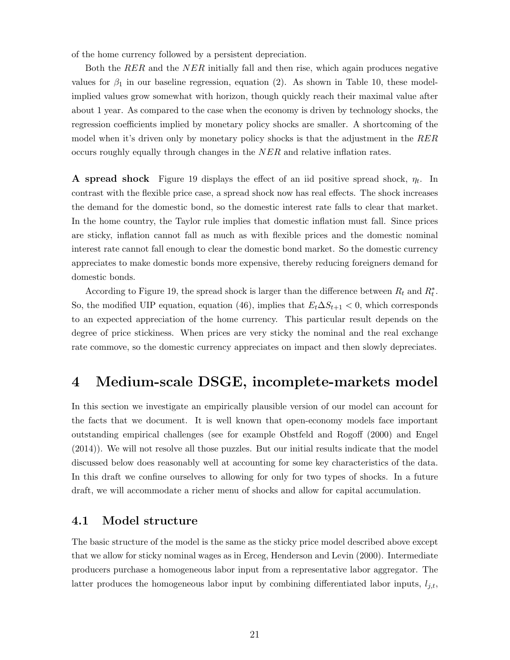of the home currency followed by a persistent depreciation.

Both the RER and the NER initially fall and then rise, which again produces negative values for  $\beta_1$  in our baseline regression, equation (2). As shown in Table 10, these modelimplied values grow somewhat with horizon, though quickly reach their maximal value after about 1 year. As compared to the case when the economy is driven by technology shocks, the regression coefficients implied by monetary policy shocks are smaller. A shortcoming of the model when it's driven only by monetary policy shocks is that the adjustment in the RER occurs roughly equally through changes in the NER and relative inflation rates.

**A** spread shock Figure 19 displays the effect of an iid positive spread shock,  $\eta_t$ . In contrast with the flexible price case, a spread shock now has real effects. The shock increases the demand for the domestic bond, so the domestic interest rate falls to clear that market. In the home country, the Taylor rule implies that domestic inflation must fall. Since prices are sticky, inflation cannot fall as much as with flexible prices and the domestic nominal interest rate cannot fall enough to clear the domestic bond market. So the domestic currency appreciates to make domestic bonds more expensive, thereby reducing foreigners demand for domestic bonds.

According to Figure 19, the spread shock is larger than the difference between  $R_t$  and  $R_t^*$ . So, the modified UIP equation, equation (46), implies that  $E_t\Delta S_{t+1} < 0$ , which corresponds to an expected appreciation of the home currency. This particular result depends on the degree of price stickiness. When prices are very sticky the nominal and the real exchange rate commove, so the domestic currency appreciates on impact and then slowly depreciates.

# 4 Medium-scale DSGE, incomplete-markets model

In this section we investigate an empirically plausible version of our model can account for the facts that we document. It is well known that open-economy models face important outstanding empirical challenges (see for example Obstfeld and Rogoff (2000) and Engel (2014)). We will not resolve all those puzzles. But our initial results indicate that the model discussed below does reasonably well at accounting for some key characteristics of the data. In this draft we confine ourselves to allowing for only for two types of shocks. In a future draft, we will accommodate a richer menu of shocks and allow for capital accumulation.

### 4.1 Model structure

The basic structure of the model is the same as the sticky price model described above except that we allow for sticky nominal wages as in Erceg, Henderson and Levin (2000). Intermediate producers purchase a homogeneous labor input from a representative labor aggregator. The latter produces the homogeneous labor input by combining differentiated labor inputs,  $l_{i,t}$ ,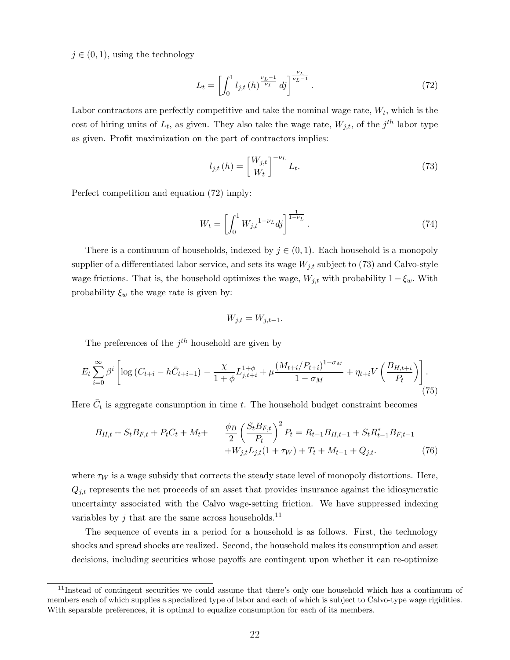$j \in (0, 1)$ , using the technology

$$
L_{t} = \left[ \int_{0}^{1} l_{j,t} \left( h \right)^{\frac{\nu_{L}-1}{\nu_{L}}} dj \right]^{\frac{\nu_{L}}{\nu_{L}-1}}.
$$
 (72)

Labor contractors are perfectly competitive and take the nominal wage rate,  $W_t$ , which is the cost of hiring units of  $L_t$ , as given. They also take the wage rate,  $W_{j,t}$ , of the  $j<sup>th</sup>$  labor type as given. Profit maximization on the part of contractors implies:

$$
l_{j,t}(h) = \left[\frac{W_{j,t}}{W_t}\right]^{-\nu_L} L_t.
$$
\n(73)

Perfect competition and equation (72) imply:

$$
W_t = \left[ \int_0^1 W_{j,t}^{1-\nu_L} d j \right]^{\frac{1}{1-\nu_L}}.
$$
\n(74)

There is a continuum of households, indexed by  $j \in (0,1)$ . Each household is a monopoly supplier of a differentiated labor service, and sets its wage  $W_{j,t}$  subject to (73) and Calvo-style wage frictions. That is, the household optimizes the wage,  $W_{j,t}$  with probability  $1-\xi_w$ . With probability  $\xi_w$  the wage rate is given by:

$$
W_{j,t} = W_{j,t-1}.
$$

The preferences of the  $j<sup>th</sup>$  household are given by

$$
E_t \sum_{i=0}^{\infty} \beta^i \left[ \log \left( C_{t+i} - h \bar{C}_{t+i-1} \right) - \frac{\chi}{1+\phi} L_{j,t+i}^{1+\phi} + \mu \frac{\left( M_{t+i} / P_{t+i} \right)^{1-\sigma_M}}{1-\sigma_M} + \eta_{t+i} V \left( \frac{B_{H,t+i}}{P_t} \right) \right].
$$
\n(75)

Here  $\bar{C}_t$  is aggregate consumption in time t. The household budget constraint becomes

$$
B_{H,t} + S_t B_{F,t} + P_t C_t + M_t + \frac{\phi_B}{2} \left(\frac{S_t B_{F,t}}{P_t}\right)^2 P_t = R_{t-1} B_{H,t-1} + S_t R_{t-1}^* B_{F,t-1} + W_{j,t} L_{j,t} (1 + \tau_W) + T_t + M_{t-1} + Q_{j,t}.
$$
 (76)

where  $\tau_W$  is a wage subsidy that corrects the steady state level of monopoly distortions. Here,  $Q_{j,t}$  represents the net proceeds of an asset that provides insurance against the idiosyncratic uncertainty associated with the Calvo wage-setting friction. We have suppressed indexing variables by j that are the same across households.<sup>11</sup>

The sequence of events in a period for a household is as follows. First, the technology shocks and spread shocks are realized. Second, the household makes its consumption and asset decisions, including securities whose payoffs are contingent upon whether it can re-optimize

<sup>&</sup>lt;sup>11</sup>Instead of contingent securities we could assume that there's only one household which has a continuum of members each of which supplies a specialized type of labor and each of which is subject to Calvo-type wage rigidities. With separable preferences, it is optimal to equalize consumption for each of its members.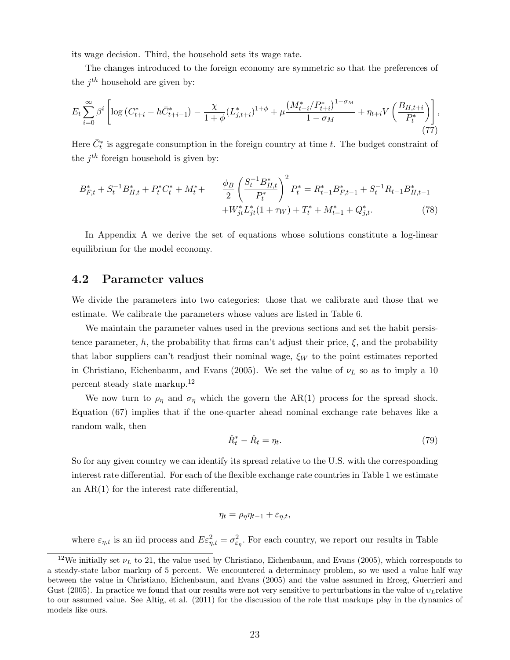its wage decision. Third, the household sets its wage rate.

The changes introduced to the foreign economy are symmetric so that the preferences of the  $j^{th}$  household are given by:

$$
E_t \sum_{i=0}^{\infty} \beta^i \left[ \log \left( C_{t+i}^* - h \bar{C}_{t+i-1}^* \right) - \frac{\chi}{1+\phi} (L_{j,t+i}^*)^{1+\phi} + \mu \frac{\left( M_{t+i}^* / P_{t+i}^* \right)^{1-\sigma_M}}{1-\sigma_M} + \eta_{t+i} V \left( \frac{B_{H,t+i}}{P_t^*} \right) \right],
$$
\n(77)

Here  $\bar{C}^*_t$  is aggregate consumption in the foreign country at time t. The budget constraint of the  $j^{th}$  foreign household is given by:

$$
B_{F,t}^{*} + S_{t}^{-1}B_{H,t}^{*} + P_{t}^{*}C_{t}^{*} + M_{t}^{*} + \frac{\phi_{B}}{2} \left(\frac{S_{t}^{-1}B_{H,t}^{*}}{P_{t}^{*}}\right)^{2} P_{t}^{*} = R_{t-1}^{*}B_{F,t-1}^{*} + S_{t}^{-1}R_{t-1}B_{H,t-1}^{*} + W_{jt}^{*}L_{jt}^{*}(1 + \tau_{W}) + T_{t}^{*} + M_{t-1}^{*} + Q_{j,t}^{*}.
$$
\n
$$
(78)
$$

In Appendix A we derive the set of equations whose solutions constitute a log-linear equilibrium for the model economy.

### 4.2 Parameter values

We divide the parameters into two categories: those that we calibrate and those that we estimate. We calibrate the parameters whose values are listed in Table 6.

We maintain the parameter values used in the previous sections and set the habit persistence parameter, h, the probability that firms can't adjust their price,  $\xi$ , and the probability that labor suppliers can't readjust their nominal wage,  $\xi_W$  to the point estimates reported in Christiano, Eichenbaum, and Evans (2005). We set the value of  $\nu_L$  so as to imply a 10 percent steady state markup.<sup>12</sup>

We now turn to  $\rho_{\eta}$  and  $\sigma_{\eta}$  which the govern the AR(1) process for the spread shock. Equation (67) implies that if the one-quarter ahead nominal exchange rate behaves like a random walk, then

$$
\hat{R}_t^* - \hat{R}_t = \eta_t. \tag{79}
$$

So for any given country we can identify its spread relative to the U.S. with the corresponding interest rate differential. For each of the flexible exchange rate countries in Table 1 we estimate an AR(1) for the interest rate differential,

$$
\eta_t = \rho_\eta \eta_{t-1} + \varepsilon_{\eta,t},
$$

where  $\varepsilon_{\eta,t}$  is an iid process and  $E\varepsilon_{\eta,t}^2 = \sigma_{\varepsilon_{\eta}}^2$ . For each country, we report our results in Table

<sup>&</sup>lt;sup>12</sup>We initially set  $\nu_L$  to 21, the value used by Christiano, Eichenbaum, and Evans (2005), which corresponds to a steady-state labor markup of 5 percent. We encountered a determinacy problem, so we used a value half way between the value in Christiano, Eichenbaum, and Evans (2005) and the value assumed in Erceg, Guerrieri and Gust (2005). In practice we found that our results were not very sensitive to perturbations in the value of  $v_L$ relative to our assumed value. See Altig, et al. (2011) for the discussion of the role that markups play in the dynamics of models like ours.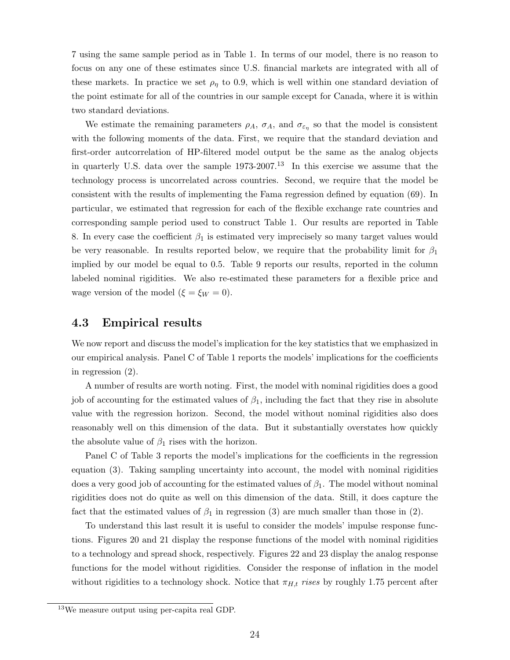7 using the same sample period as in Table 1. In terms of our model, there is no reason to focus on any one of these estimates since U.S. financial markets are integrated with all of these markets. In practice we set  $\rho_{\eta}$  to 0.9, which is well within one standard deviation of the point estimate for all of the countries in our sample except for Canada, where it is within two standard deviations.

We estimate the remaining parameters  $\rho_A$ ,  $\sigma_A$ , and  $\sigma_{\varepsilon_{\eta}}$  so that the model is consistent with the following moments of the data. First, we require that the standard deviation and first-order autcorrelation of HP-filtered model output be the same as the analog objects in quarterly U.S. data over the sample  $1973-2007$ .<sup>13</sup> In this exercise we assume that the technology process is uncorrelated across countries. Second, we require that the model be consistent with the results of implementing the Fama regression defined by equation (69). In particular, we estimated that regression for each of the flexible exchange rate countries and corresponding sample period used to construct Table 1. Our results are reported in Table 8. In every case the coefficient  $\beta_1$  is estimated very imprecisely so many target values would be very reasonable. In results reported below, we require that the probability limit for  $\beta_1$ implied by our model be equal to 0.5. Table 9 reports our results, reported in the column labeled nominal rigidities. We also re-estimated these parameters for a flexible price and wage version of the model  $(\xi = \xi_W = 0)$ .

### 4.3 Empirical results

We now report and discuss the model's implication for the key statistics that we emphasized in our empirical analysis. Panel C of Table 1 reports the models' implications for the coefficients in regression (2).

A number of results are worth noting. First, the model with nominal rigidities does a good job of accounting for the estimated values of  $\beta_1$ , including the fact that they rise in absolute value with the regression horizon. Second, the model without nominal rigidities also does reasonably well on this dimension of the data. But it substantially overstates how quickly the absolute value of  $\beta_1$  rises with the horizon.

Panel C of Table 3 reports the model's implications for the coefficients in the regression equation (3). Taking sampling uncertainty into account, the model with nominal rigidities does a very good job of accounting for the estimated values of  $\beta_1$ . The model without nominal rigidities does not do quite as well on this dimension of the data. Still, it does capture the fact that the estimated values of  $\beta_1$  in regression (3) are much smaller than those in (2).

To understand this last result it is useful to consider the models' impulse response functions. Figures 20 and 21 display the response functions of the model with nominal rigidities to a technology and spread shock, respectively. Figures 22 and 23 display the analog response functions for the model without rigidities. Consider the response of inflation in the model without rigidities to a technology shock. Notice that  $\pi_{H,t}$  rises by roughly 1.75 percent after

<sup>13</sup>We measure output using per-capita real GDP.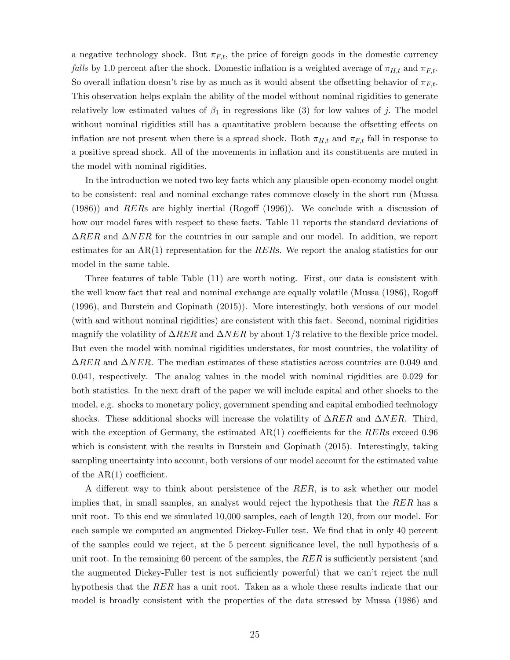a negative technology shock. But  $\pi_{F,t}$ , the price of foreign goods in the domestic currency *falls* by 1.0 percent after the shock. Domestic inflation is a weighted average of  $\pi_{H,t}$  and  $\pi_{F,t}$ . So overall inflation doesn't rise by as much as it would absent the offsetting behavior of  $\pi_{F,t}$ . This observation helps explain the ability of the model without nominal rigidities to generate relatively low estimated values of  $\beta_1$  in regressions like (3) for low values of j. The model without nominal rigidities still has a quantitative problem because the offsetting effects on inflation are not present when there is a spread shock. Both  $\pi_{H,t}$  and  $\pi_{F,t}$  fall in response to a positive spread shock. All of the movements in inflation and its constituents are muted in the model with nominal rigidities.

In the introduction we noted two key facts which any plausible open-economy model ought to be consistent: real and nominal exchange rates commove closely in the short run (Mussa (1986)) and RERs are highly inertial (Rogoff (1996)). We conclude with a discussion of how our model fares with respect to these facts. Table 11 reports the standard deviations of  $\Delta RER$  and  $\Delta NER$  for the countries in our sample and our model. In addition, we report estimates for an  $AR(1)$  representation for the RERs. We report the analog statistics for our model in the same table.

Three features of table Table (11) are worth noting. First, our data is consistent with the well know fact that real and nominal exchange are equally volatile (Mussa (1986), Rogoff (1996), and Burstein and Gopinath (2015)). More interestingly, both versions of our model (with and without nominal rigidities) are consistent with this fact. Second, nominal rigidities magnify the volatility of  $\Delta RER$  and  $\Delta NER$  by about 1/3 relative to the flexible price model. But even the model with nominal rigidities understates, for most countries, the volatility of  $\Delta RER$  and  $\Delta NER$ . The median estimates of these statistics across countries are 0.049 and 0.041, respectively. The analog values in the model with nominal rigidities are 0.029 for both statistics. In the next draft of the paper we will include capital and other shocks to the model, e.g. shocks to monetary policy, government spending and capital embodied technology shocks. These additional shocks will increase the volatility of  $\Delta RER$  and  $\Delta NER$ . Third, with the exception of Germany, the estimated  $AR(1)$  coefficients for the RERs exceed 0.96 which is consistent with the results in Burstein and Gopinath (2015). Interestingly, taking sampling uncertainty into account, both versions of our model account for the estimated value of the AR(1) coefficient.

A different way to think about persistence of the RER, is to ask whether our model implies that, in small samples, an analyst would reject the hypothesis that the RER has a unit root. To this end we simulated 10,000 samples, each of length 120, from our model. For each sample we computed an augmented Dickey-Fuller test. We find that in only 40 percent of the samples could we reject, at the 5 percent significance level, the null hypothesis of a unit root. In the remaining 60 percent of the samples, the  $RER$  is sufficiently persistent (and the augmented Dickey-Fuller test is not sufficiently powerful) that we can't reject the null hypothesis that the RER has a unit root. Taken as a whole these results indicate that our model is broadly consistent with the properties of the data stressed by Mussa (1986) and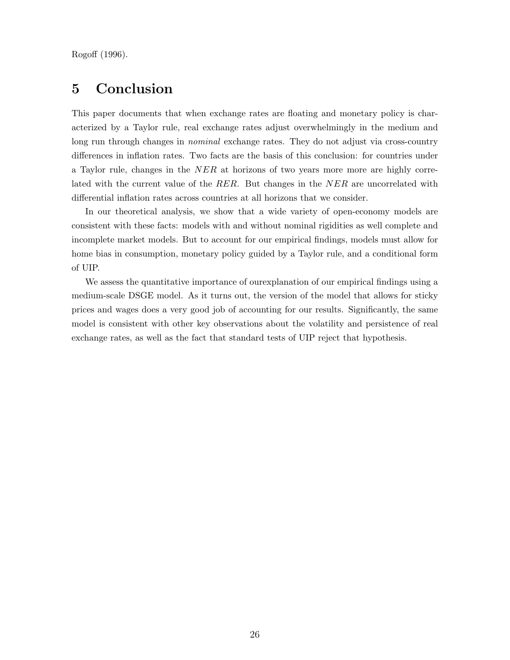Rogoff (1996).

# 5 Conclusion

This paper documents that when exchange rates are floating and monetary policy is characterized by a Taylor rule, real exchange rates adjust overwhelmingly in the medium and long run through changes in *nominal* exchange rates. They do not adjust via cross-country differences in inflation rates. Two facts are the basis of this conclusion: for countries under a Taylor rule, changes in the NER at horizons of two years more more are highly correlated with the current value of the RER. But changes in the NER are uncorrelated with differential inflation rates across countries at all horizons that we consider.

In our theoretical analysis, we show that a wide variety of open-economy models are consistent with these facts: models with and without nominal rigidities as well complete and incomplete market models. But to account for our empirical findings, models must allow for home bias in consumption, monetary policy guided by a Taylor rule, and a conditional form of UIP.

We assess the quantitative importance of ourexplanation of our empirical findings using a medium-scale DSGE model. As it turns out, the version of the model that allows for sticky prices and wages does a very good job of accounting for our results. Significantly, the same model is consistent with other key observations about the volatility and persistence of real exchange rates, as well as the fact that standard tests of UIP reject that hypothesis.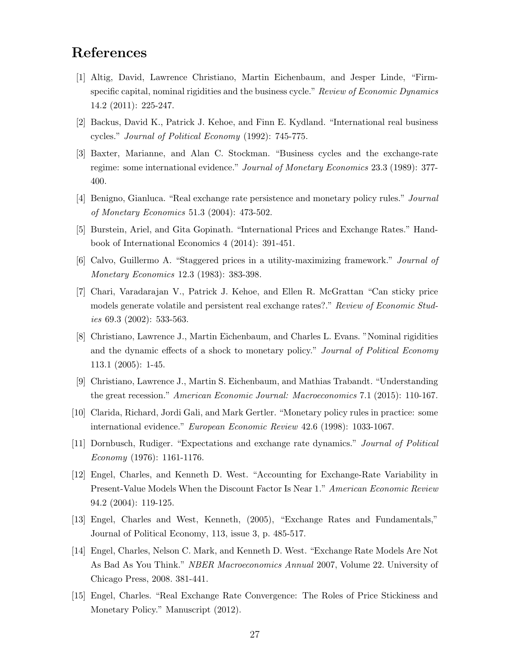# References

- [1] Altig, David, Lawrence Christiano, Martin Eichenbaum, and Jesper Linde, "Firmspecific capital, nominal rigidities and the business cycle." Review of Economic Dynamics 14.2 (2011): 225-247.
- [2] Backus, David K., Patrick J. Kehoe, and Finn E. Kydland. "International real business cycles." Journal of Political Economy (1992): 745-775.
- [3] Baxter, Marianne, and Alan C. Stockman. "Business cycles and the exchange-rate regime: some international evidence." Journal of Monetary Economics 23.3 (1989): 377- 400.
- [4] Benigno, Gianluca. "Real exchange rate persistence and monetary policy rules." Journal of Monetary Economics 51.3 (2004): 473-502.
- [5] Burstein, Ariel, and Gita Gopinath. "International Prices and Exchange Rates." Handbook of International Economics 4 (2014): 391-451.
- [6] Calvo, Guillermo A. "Staggered prices in a utility-maximizing framework." Journal of Monetary Economics 12.3 (1983): 383-398.
- [7] Chari, Varadarajan V., Patrick J. Kehoe, and Ellen R. McGrattan "Can sticky price models generate volatile and persistent real exchange rates?." Review of Economic Studies 69.3 (2002): 533-563.
- [8] Christiano, Lawrence J., Martin Eichenbaum, and Charles L. Evans. "Nominal rigidities and the dynamic effects of a shock to monetary policy." Journal of Political Economy 113.1 (2005): 1-45.
- [9] Christiano, Lawrence J., Martin S. Eichenbaum, and Mathias Trabandt. "Understanding the great recession." American Economic Journal: Macroeconomics 7.1 (2015): 110-167.
- [10] Clarida, Richard, Jordi Gali, and Mark Gertler. "Monetary policy rules in practice: some international evidence." European Economic Review 42.6 (1998): 1033-1067.
- [11] Dornbusch, Rudiger. "Expectations and exchange rate dynamics." Journal of Political Economy (1976): 1161-1176.
- [12] Engel, Charles, and Kenneth D. West. "Accounting for Exchange-Rate Variability in Present-Value Models When the Discount Factor Is Near 1." American Economic Review 94.2 (2004): 119-125.
- [13] Engel, Charles and West, Kenneth, (2005), "Exchange Rates and Fundamentals," Journal of Political Economy, 113, issue 3, p. 485-517.
- [14] Engel, Charles, Nelson C. Mark, and Kenneth D. West. "Exchange Rate Models Are Not As Bad As You Think." NBER Macroeconomics Annual 2007, Volume 22. University of Chicago Press, 2008. 381-441.
- [15] Engel, Charles. "Real Exchange Rate Convergence: The Roles of Price Stickiness and Monetary Policy." Manuscript (2012).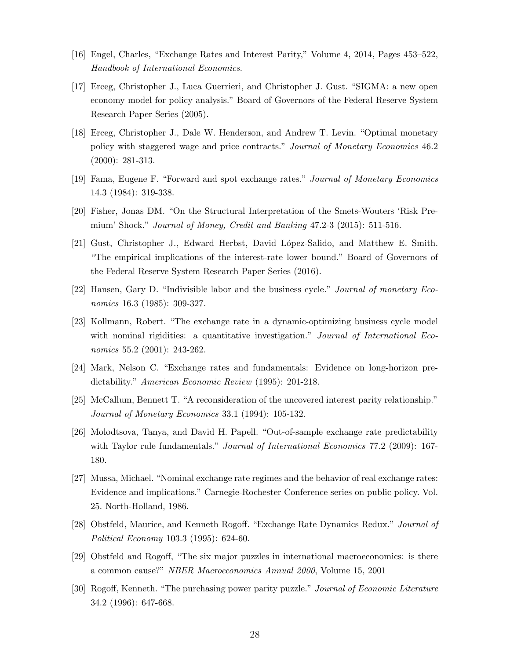- [16] Engel, Charles, "Exchange Rates and Interest Parity," Volume 4, 2014, Pages 453–522, Handbook of International Economics.
- [17] Erceg, Christopher J., Luca Guerrieri, and Christopher J. Gust. "SIGMA: a new open economy model for policy analysis." Board of Governors of the Federal Reserve System Research Paper Series (2005).
- [18] Erceg, Christopher J., Dale W. Henderson, and Andrew T. Levin. "Optimal monetary policy with staggered wage and price contracts." Journal of Monetary Economics 46.2 (2000): 281-313.
- [19] Fama, Eugene F. "Forward and spot exchange rates." Journal of Monetary Economics 14.3 (1984): 319-338.
- [20] Fisher, Jonas DM. "On the Structural Interpretation of the Smets-Wouters 'Risk Premium' Shock." Journal of Money, Credit and Banking 47.2-3 (2015): 511-516.
- [21] Gust, Christopher J., Edward Herbst, David L´opez-Salido, and Matthew E. Smith. "The empirical implications of the interest-rate lower bound." Board of Governors of the Federal Reserve System Research Paper Series (2016).
- [22] Hansen, Gary D. "Indivisible labor and the business cycle." Journal of monetary Economics 16.3 (1985): 309-327.
- [23] Kollmann, Robert. "The exchange rate in a dynamic-optimizing business cycle model with nominal rigidities: a quantitative investigation." *Journal of International Eco*nomics 55.2 (2001): 243-262.
- [24] Mark, Nelson C. "Exchange rates and fundamentals: Evidence on long-horizon predictability." American Economic Review (1995): 201-218.
- [25] McCallum, Bennett T. "A reconsideration of the uncovered interest parity relationship." Journal of Monetary Economics 33.1 (1994): 105-132.
- [26] Molodtsova, Tanya, and David H. Papell. "Out-of-sample exchange rate predictability with Taylor rule fundamentals." *Journal of International Economics* 77.2 (2009): 167-180.
- [27] Mussa, Michael. "Nominal exchange rate regimes and the behavior of real exchange rates: Evidence and implications." Carnegie-Rochester Conference series on public policy. Vol. 25. North-Holland, 1986.
- [28] Obstfeld, Maurice, and Kenneth Rogoff. "Exchange Rate Dynamics Redux." Journal of Political Economy 103.3 (1995): 624-60.
- [29] Obstfeld and Rogoff, "The six major puzzles in international macroeconomics: is there a common cause?" NBER Macroeconomics Annual 2000, Volume 15, 2001
- [30] Rogoff, Kenneth. "The purchasing power parity puzzle." Journal of Economic Literature 34.2 (1996): 647-668.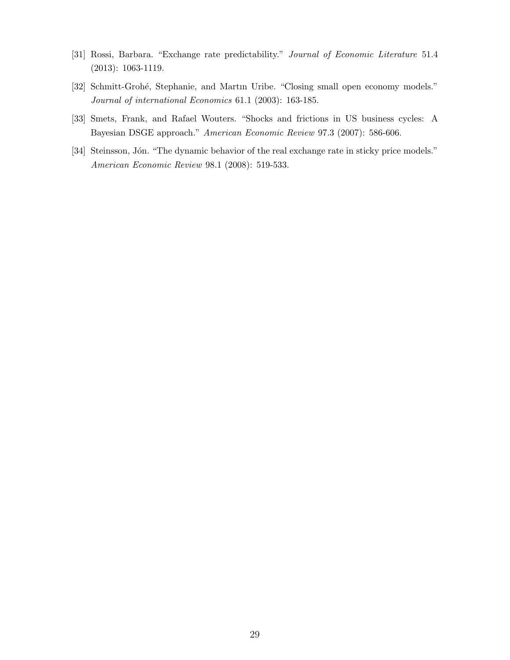- [31] Rossi, Barbara. "Exchange rate predictability." Journal of Economic Literature 51.4 (2013): 1063-1119.
- [32] Schmitt-Grohé, Stephanie, and Martin Uribe. "Closing small open economy models." Journal of international Economics 61.1 (2003): 163-185.
- [33] Smets, Frank, and Rafael Wouters. "Shocks and frictions in US business cycles: A Bayesian DSGE approach." American Economic Review 97.3 (2007): 586-606.
- [34] Steinsson, Jón. "The dynamic behavior of the real exchange rate in sticky price models." American Economic Review 98.1 (2008): 519-533.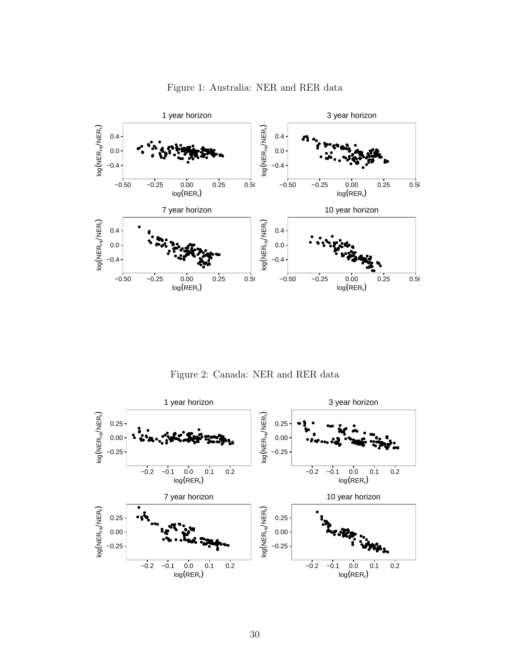

Figure 1: Australia: NER and RER data

Figure 2: Canada: NER and RER data

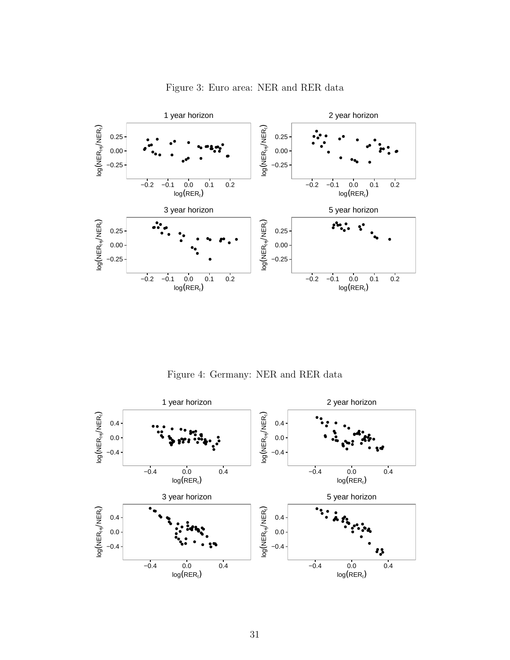

Figure 3: Euro area: NER and RER data

Figure 4: Germany: NER and RER data

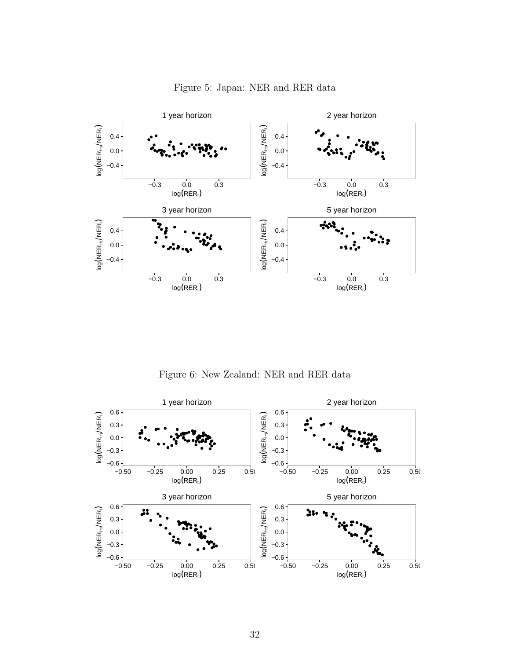

Figure 5: Japan: NER and RER data

Figure 6: New Zealand: NER and RER data

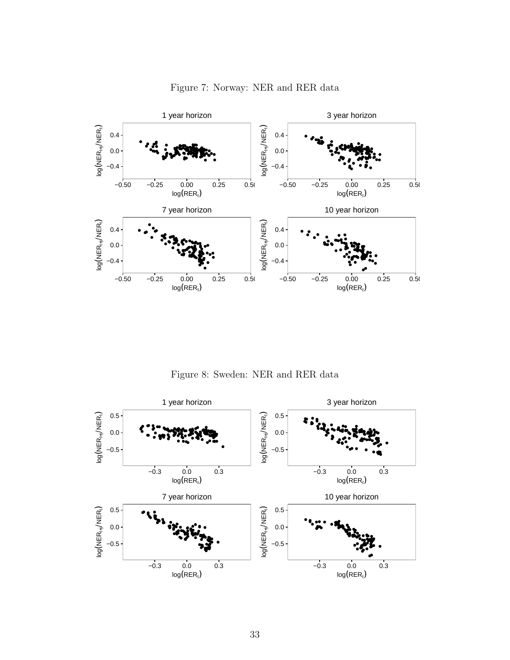

Figure 7: Norway: NER and RER data

Figure 8: Sweden: NER and RER data

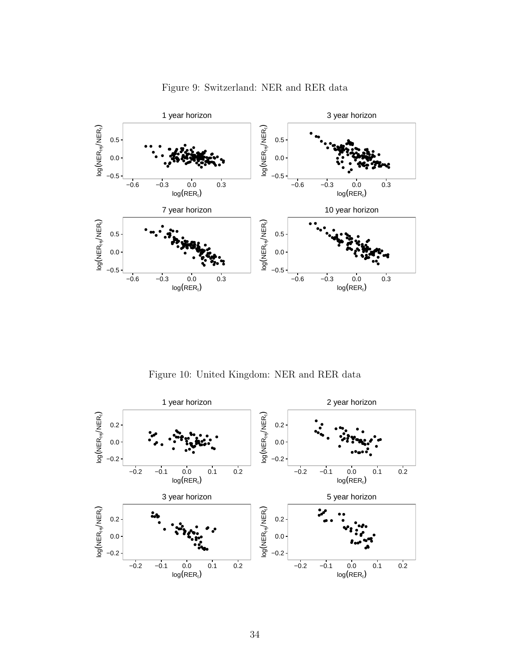

Figure 9: Switzerland: NER and RER data

Figure 10: United Kingdom: NER and RER data

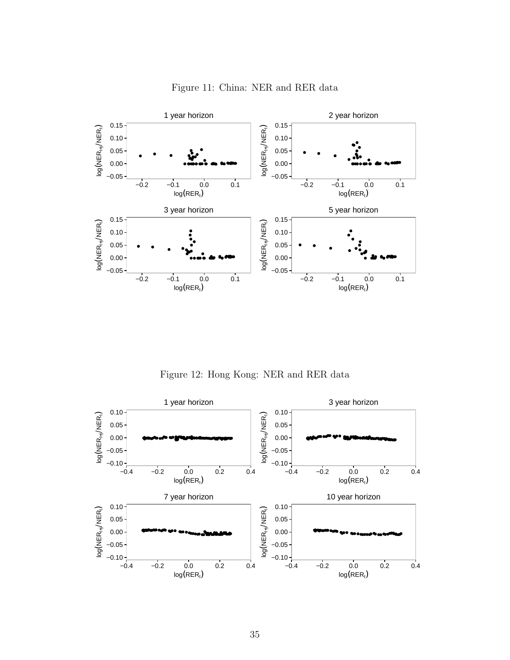

Figure 11: China: NER and RER data

Figure 12: Hong Kong: NER and RER data

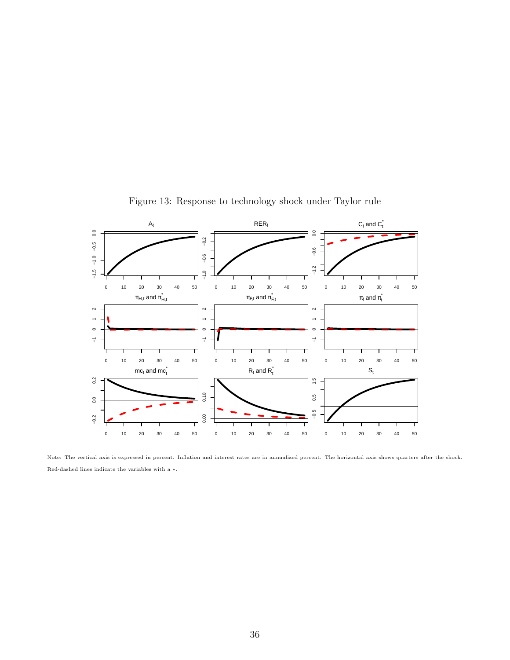

Figure 13: Response to technology shock under Taylor rule

Note: The vertical axis is expressed in percent. Inflation and interest rates are in annualized percent. The horizontal axis shows quarters after the shock. Red-dashed lines indicate the variables with a ∗.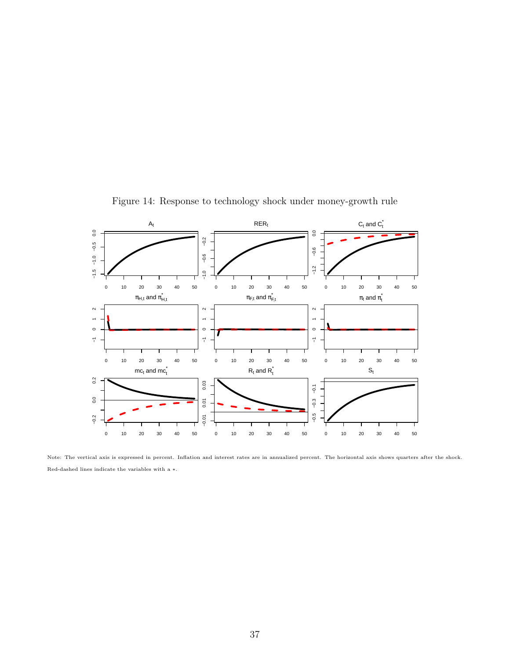

Figure 14: Response to technology shock under money-growth rule

Note: The vertical axis is expressed in percent. Inflation and interest rates are in annualized percent. The horizontal axis shows quarters after the shock. Red-dashed lines indicate the variables with a ∗.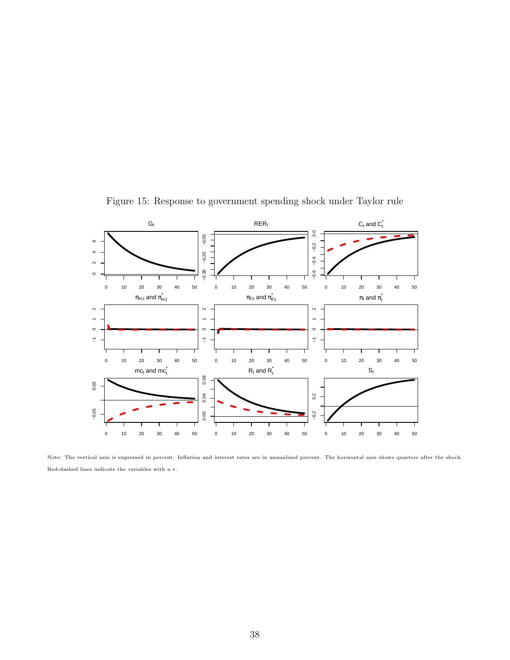

Figure 15: Response to government spending shock under Taylor rule

Note: The vertical axis is expressed in percent. Inflation and interest rates are in annualized percent. The horizontal axis shows quarters after the shock. Red-dashed lines indicate the variables with a ∗.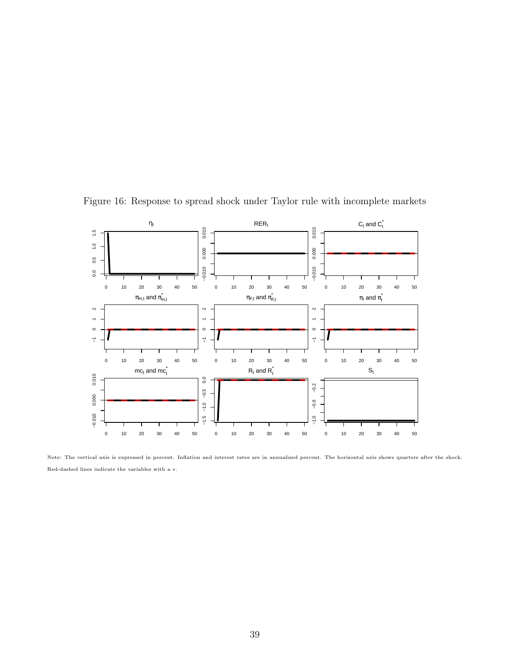

Figure 16: Response to spread shock under Taylor rule with incomplete markets

Note: The vertical axis is expressed in percent. Inflation and interest rates are in annualized percent. The horizontal axis shows quarters after the shock. Red-dashed lines indicate the variables with a ∗.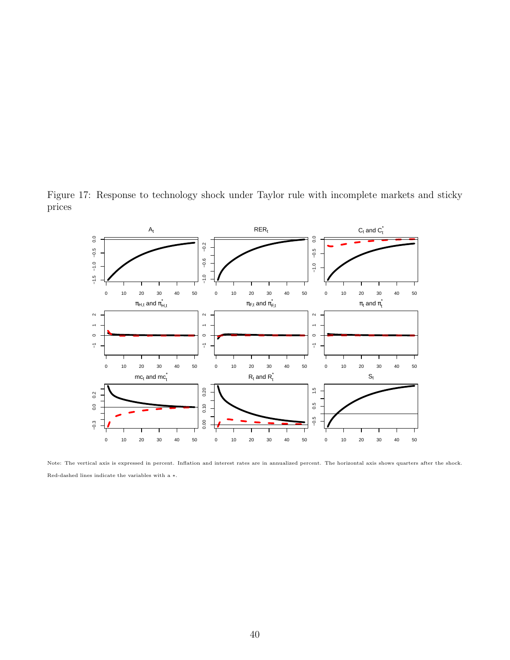

Figure 17: Response to technology shock under Taylor rule with incomplete markets and sticky prices

Note: The vertical axis is expressed in percent. Inflation and interest rates are in annualized percent. The horizontal axis shows quarters after the shock. Red-dashed lines indicate the variables with a ∗.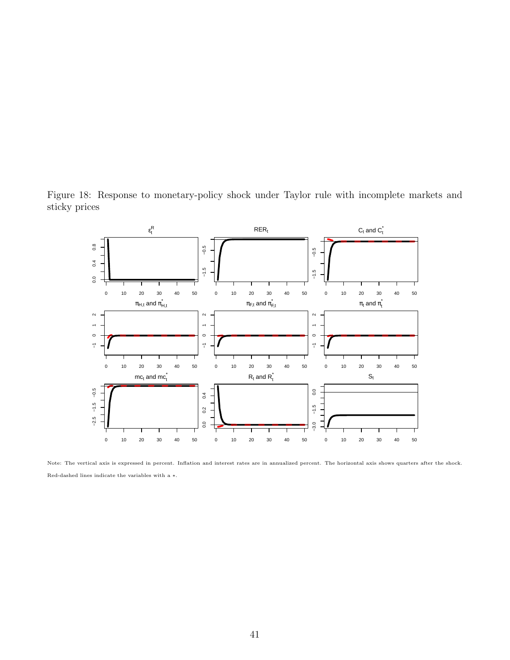Figure 18: Response to monetary-policy shock under Taylor rule with incomplete markets and sticky prices



Note: The vertical axis is expressed in percent. Inflation and interest rates are in annualized percent. The horizontal axis shows quarters after the shock. Red-dashed lines indicate the variables with a ∗.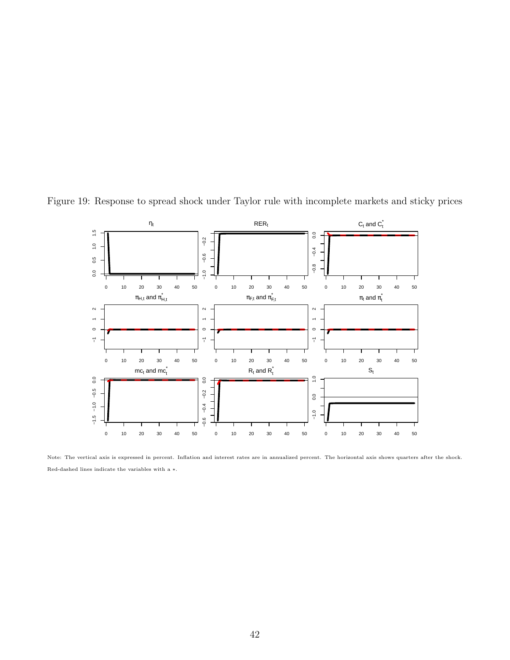

Figure 19: Response to spread shock under Taylor rule with incomplete markets and sticky prices

Note: The vertical axis is expressed in percent. Inflation and interest rates are in annualized percent. The horizontal axis shows quarters after the shock. Red-dashed lines indicate the variables with a ∗.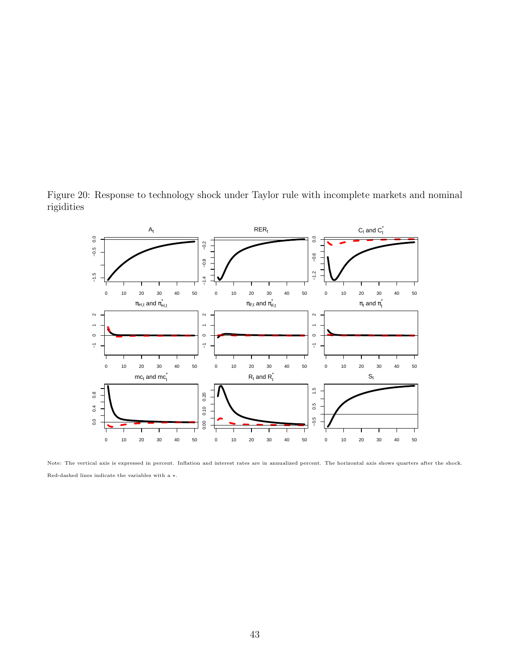

Figure 20: Response to technology shock under Taylor rule with incomplete markets and nominal rigidities

Note: The vertical axis is expressed in percent. Inflation and interest rates are in annualized percent. The horizontal axis shows quarters after the shock. Red-dashed lines indicate the variables with a ∗.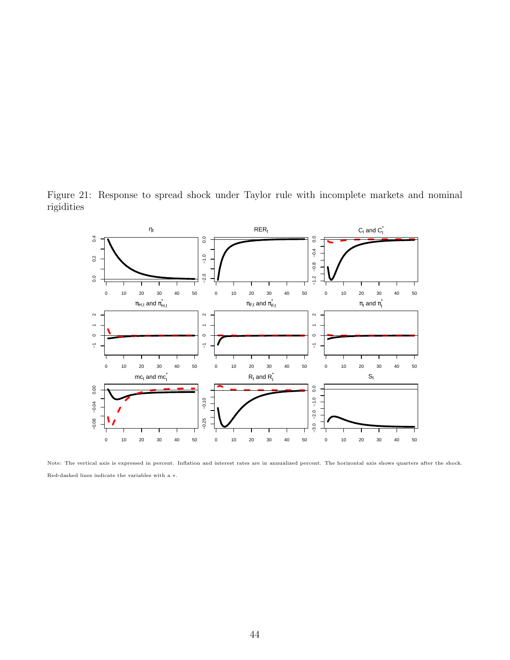Figure 21: Response to spread shock under Taylor rule with incomplete markets and nominal rigidities



Note: The vertical axis is expressed in percent. Inflation and interest rates are in annualized percent. The horizontal axis shows quarters after the shock. Red-dashed lines indicate the variables with a ∗.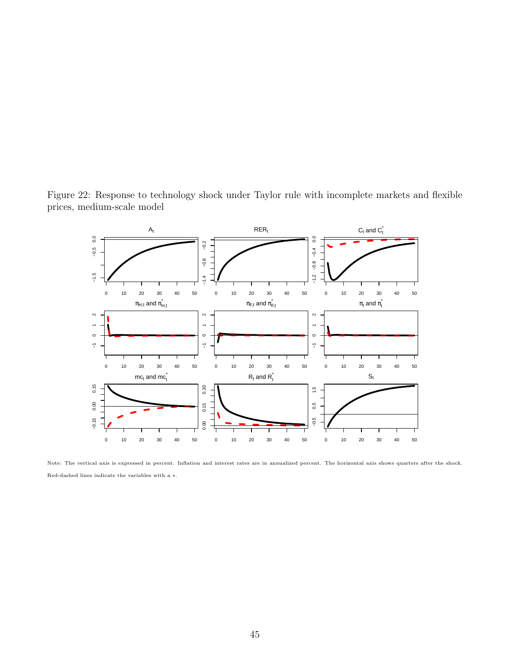Figure 22: Response to technology shock under Taylor rule with incomplete markets and flexible prices, medium-scale model



Note: The vertical axis is expressed in percent. Inflation and interest rates are in annualized percent. The horizontal axis shows quarters after the shock. Red-dashed lines indicate the variables with a ∗.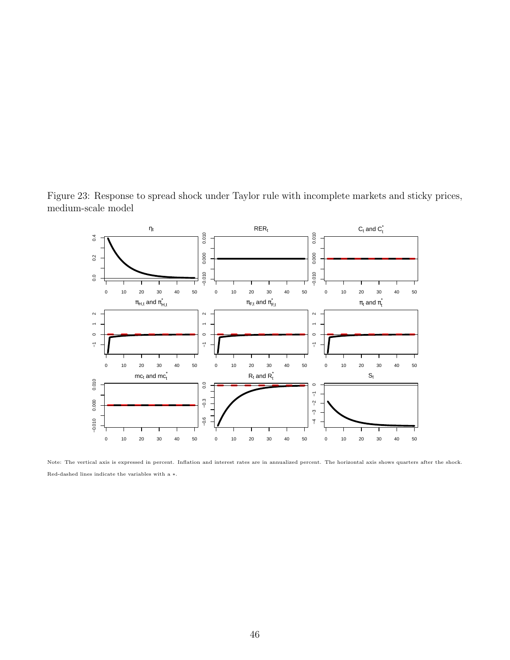

Figure 23: Response to spread shock under Taylor rule with incomplete markets and sticky prices, medium-scale model

Note: The vertical axis is expressed in percent. Inflation and interest rates are in annualized percent. The horizontal axis shows quarters after the shock. Red-dashed lines indicate the variables with a ∗.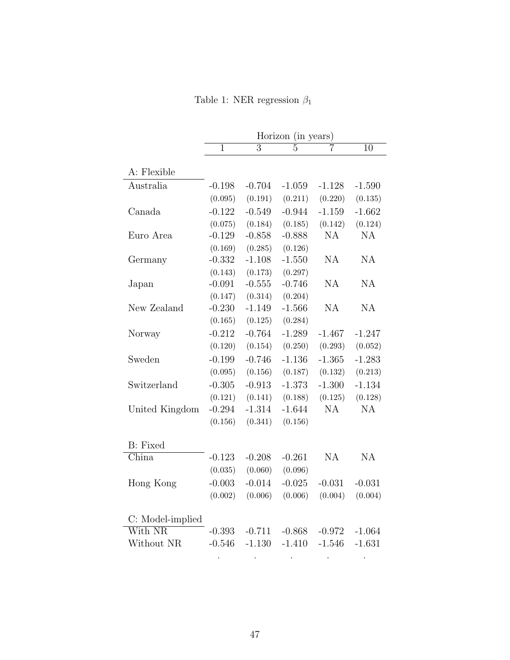Table 1: NER regression  $\beta_1$ 

|                           |                |                | Horizon (in years) |           |                 |
|---------------------------|----------------|----------------|--------------------|-----------|-----------------|
|                           | $\overline{1}$ | $\overline{3}$ | $\overline{5}$     |           | $\overline{10}$ |
|                           |                |                |                    |           |                 |
| A: Flexible               |                |                |                    |           |                 |
| Australia                 | $-0.198$       | $-0.704$       | $-1.059$           | $-1.128$  | $-1.590$        |
|                           | (0.095)        | (0.191)        | (0.211)            | (0.220)   | (0.135)         |
| Canada                    | $-0.122$       | $-0.549$       | $-0.944$           | $-1.159$  | $-1.662$        |
|                           | (0.075)        | (0.184)        | (0.185)            | (0.142)   | (0.124)         |
| Euro Area                 | $-0.129$       | $-0.858$       | $-0.888$           | <b>NA</b> | <b>NA</b>       |
|                           | (0.169)        | (0.285)        | (0.126)            |           |                 |
| Germany                   | $-0.332$       | $-1.108$       | $-1.550$           | NA        | NA              |
|                           | (0.143)        | (0.173)        | (0.297)            |           |                 |
| Japan                     | $-0.091$       | $-0.555$       | $-0.746$           | NA        | NA              |
|                           | (0.147)        | (0.314)        | (0.204)            |           |                 |
| New Zealand               | $-0.230$       | $-1.149$       | $-1.566$           | NA        | <b>NA</b>       |
|                           | (0.165)        | (0.125)        | (0.284)            |           |                 |
| Norway                    | $-0.212$       | $-0.764$       | $-1.289$           | $-1.467$  | $-1.247$        |
|                           | (0.120)        | (0.154)        | (0.250)            | (0.293)   | (0.052)         |
| Sweden                    | $-0.199$       | $-0.746$       | $-1.136$           | $-1.365$  | $-1.283$        |
|                           | (0.095)        | (0.156)        | (0.187)            | (0.132)   | (0.213)         |
| Switzerland               | $-0.305$       | $-0.913$       | $-1.373$           | $-1.300$  | $-1.134$        |
|                           | (0.121)        | (0.141)        | (0.188)            | (0.125)   | (0.128)         |
| United Kingdom            | $-0.294$       | $-1.314$       | $-1.644$           | NA        | NA              |
|                           | (0.156)        | (0.341)        | (0.156)            |           |                 |
|                           |                |                |                    |           |                 |
| <b>B</b> : Fixed          |                |                |                    |           |                 |
| $\overline{\text{China}}$ | $-0.123$       | $-0.208$       | $-0.261$           | <b>NA</b> | <b>NA</b>       |
|                           | (0.035)        | (0.060)        | (0.096)            |           |                 |
| Hong Kong                 | $-0.003$       | $-0.014$       | $-0.025$           | $-0.031$  | $-0.031$        |
|                           | (0.002)        | (0.006)        | (0.006)            | (0.004)   | (0.004)         |
|                           |                |                |                    |           |                 |
| C: Model-implied          |                |                |                    |           |                 |
| With NR                   | $-0.393$       | $-0.711$       | $-0.868$           | $-0.972$  | $-1.064$        |
| Without NR                | $-0.546$       | $-1.130$       | $-1.410$           | $-1.546$  | $-1.631$        |
|                           |                |                |                    |           |                 |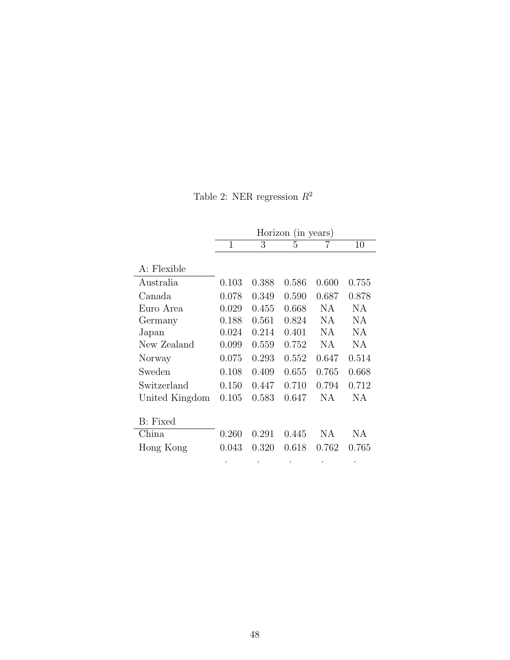Table 2: NER regression  $\mathbb{R}^2$ 

|                |              |       | Horizon (in years) |       |       |
|----------------|--------------|-------|--------------------|-------|-------|
|                | $\mathbf{1}$ | 3     | 5                  | 7     | 10    |
| A: Flexible    |              |       |                    |       |       |
| Australia      | 0.103        | 0.388 | 0.586              | 0.600 | 0.755 |
| Canada         | 0.078        | 0.349 | 0.590              | 0.687 | 0.878 |
| Euro Area      | 0.029        | 0.455 | 0.668              | NA    | ΝA    |
| Germany        | 0.188        | 0.561 | 0.824              | NA    | NА    |
| Japan          | 0.024        | 0.214 | 0.401              | NA    | ΝA    |
| New Zealand    | 0.099        | 0.559 | 0.752              | NA    | ΝA    |
| Norway         | 0.075        | 0.293 | 0.552              | 0.647 | 0.514 |
| Sweden         | 0.108        | 0.409 | 0.655              | 0.765 | 0.668 |
| Switzerland    | 0.150        | 0.447 | 0.710              | 0.794 | 0.712 |
| United Kingdom | 0.105        | 0.583 | 0.647              | NA    | ΝA    |
|                |              |       |                    |       |       |
| B: Fixed       |              |       |                    |       |       |
| China          | 0.260        | 0.291 | 0.445              | NA    | ΝA    |
| Hong Kong      | 0.043        | 0.320 | 0.618              | 0.762 | 0.765 |
|                |              |       |                    |       |       |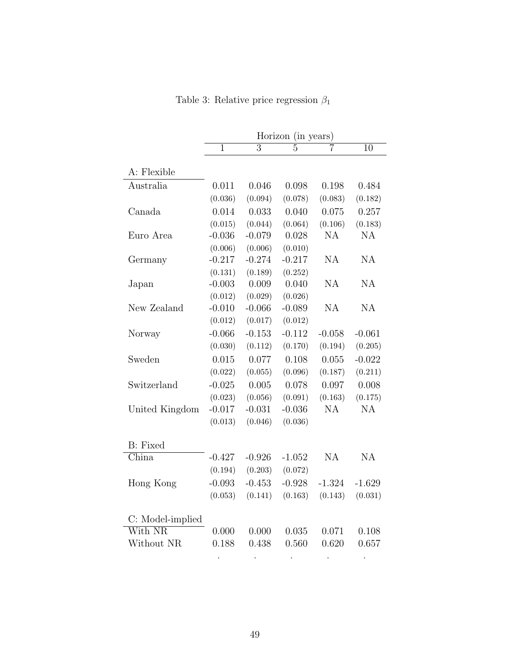|                  |              |                | Horizon (in years) |           |                 |
|------------------|--------------|----------------|--------------------|-----------|-----------------|
|                  | $\mathbf{1}$ | $\overline{3}$ | $\overline{5}$     | 7         | $\overline{10}$ |
|                  |              |                |                    |           |                 |
| A: Flexible      |              |                |                    |           |                 |
| Australia        | 0.011        | 0.046          | 0.098              | 0.198     | 0.484           |
|                  | (0.036)      | (0.094)        | (0.078)            | (0.083)   | (0.182)         |
| Canada           | 0.014        | 0.033          | 0.040              | 0.075     | 0.257           |
|                  | (0.015)      | (0.044)        | (0.064)            | (0.106)   | (0.183)         |
| Euro Area        | $-0.036$     | $-0.079$       | 0.028              | <b>NA</b> | <b>NA</b>       |
|                  | (0.006)      | (0.006)        | (0.010)            |           |                 |
| Germany          | $-0.217$     | $-0.274$       | $-0.217$           | NA        | <b>NA</b>       |
|                  | (0.131)      | (0.189)        | (0.252)            |           |                 |
| Japan            | $-0.003$     | 0.009          | 0.040              | NA        | NA              |
|                  | (0.012)      | (0.029)        | (0.026)            |           |                 |
| New Zealand      | $-0.010$     | $-0.066$       | $-0.089$           | NA        | <b>NA</b>       |
|                  | (0.012)      | (0.017)        | (0.012)            |           |                 |
| Norway           | $-0.066$     | $-0.153$       | $-0.112$           | $-0.058$  | $-0.061$        |
|                  | (0.030)      | (0.112)        | (0.170)            | (0.194)   | (0.205)         |
| Sweden           | 0.015        | 0.077          | 0.108              | 0.055     | $-0.022$        |
|                  | (0.022)      | (0.055)        | (0.096)            | (0.187)   | (0.211)         |
| Switzerland      | $-0.025$     | 0.005          | 0.078              | 0.097     | 0.008           |
|                  | (0.023)      | (0.056)        | (0.091)            | (0.163)   | (0.175)         |
| United Kingdom   | $-0.017$     | $-0.031$       | $-0.036$           | NA        | <b>NA</b>       |
|                  | (0.013)      | (0.046)        | (0.036)            |           |                 |
| <b>B</b> : Fixed |              |                |                    |           |                 |
| China            | $-0.427$     | $-0.926$       | $-1.052$           | NA        | <b>NA</b>       |
|                  | (0.194)      | (0.203)        | (0.072)            |           |                 |
| Hong Kong        | $-0.093$     | $-0.453$       | $-0.928$           | $-1.324$  | $-1.629$        |
|                  | (0.053)      | (0.141)        | (0.163)            | (0.143)   | (0.031)         |
| C: Model-implied |              |                |                    |           |                 |
| With NR          | 0.000        | 0.000          | 0.035              | 0.071     | 0.108           |
| Without NR       | 0.188        | 0.438          | 0.560              | 0.620     | 0.657           |
|                  |              |                |                    |           |                 |

Table 3: Relative price regression  $\beta_1$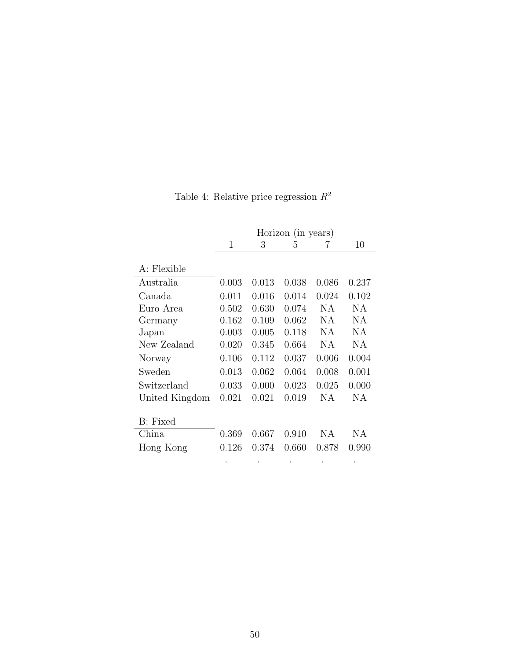|                |       |       | Horizon (in years) |       |       |
|----------------|-------|-------|--------------------|-------|-------|
|                | 1     | 3     | 5                  | 7     | 10    |
| A: Flexible    |       |       |                    |       |       |
| Australia      | 0.003 | 0.013 | 0.038              | 0.086 | 0.237 |
| Canada         | 0.011 | 0.016 | 0.014              | 0.024 | 0.102 |
| Euro Area      | 0.502 | 0.630 | 0.074              | NA    | ΝA    |
| Germany        | 0.162 | 0.109 | 0.062              | NА    | NА    |
| Japan          | 0.003 | 0.005 | 0.118              | NA    | ΝA    |
| New Zealand    | 0.020 | 0.345 | 0.664              | NA    | ΝA    |
| Norway         | 0.106 | 0.112 | 0.037              | 0.006 | 0.004 |
| Sweden         | 0.013 | 0.062 | 0.064              | 0.008 | 0.001 |
| Switzerland    | 0.033 | 0.000 | 0.023              | 0.025 | 0.000 |
| United Kingdom | 0.021 | 0.021 | 0.019              | NA    | NА    |
|                |       |       |                    |       |       |
| B: Fixed       |       |       |                    |       |       |
| China          | 0.369 | 0.667 | 0.910              | NА    | ΝA    |
| Hong Kong      | 0.126 | 0.374 | 0.660              | 0.878 | 0.990 |
|                |       |       |                    |       |       |

Table 4: Relative price regression  $\mathbb{R}^2$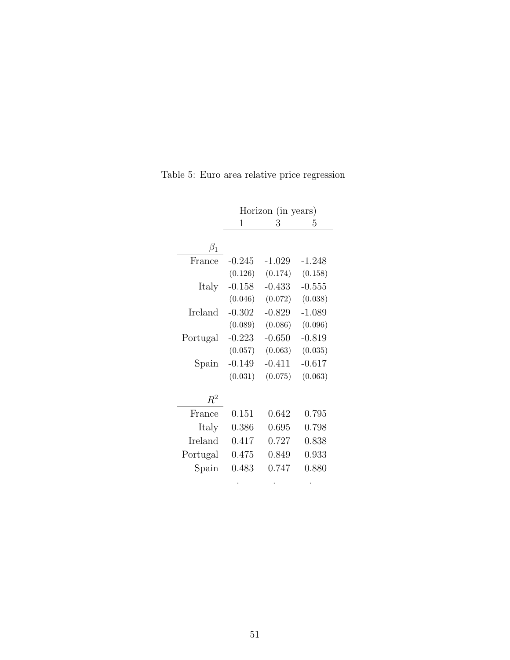|           |          | Horizon (in years)            |          |
|-----------|----------|-------------------------------|----------|
|           | 1        | 3                             | 5        |
|           |          |                               |          |
| $\beta_1$ |          |                               |          |
| France    | $-0.245$ | $-1.029$                      | $-1.248$ |
|           | (0.126)  | (0.174)                       | (0.158)  |
| Italy     | $-0.158$ | $-0.433$                      | $-0.555$ |
|           |          | $(0.046)$ $(0.072)$ $(0.038)$ |          |
| Ireland   | $-0.302$ | $-0.829$                      | $-1.089$ |
|           | (0.089)  | (0.086)                       | (0.096)  |
| Portugal  | $-0.223$ | $-0.650$                      | $-0.819$ |
|           | (0.057)  | (0.063)                       | (0.035)  |
| Spain     | $-0.149$ | $-0.411$                      | $-0.617$ |
|           | (0.031)  | (0.075)                       | (0.063)  |
|           |          |                               |          |
| $\,R^2$   |          |                               |          |
| France    | 0.151    | 0.642                         | 0.795    |
| Italy     | 0.386    | 0.695                         | 0.798    |
| Ireland   | 0.417    | 0.727                         | 0.838    |
| Portugal  | 0.475    | 0.849                         | 0.933    |
| Spain     | 0.483    | 0.747                         | 0.880    |
|           |          |                               |          |

Table 5: Euro area relative price regression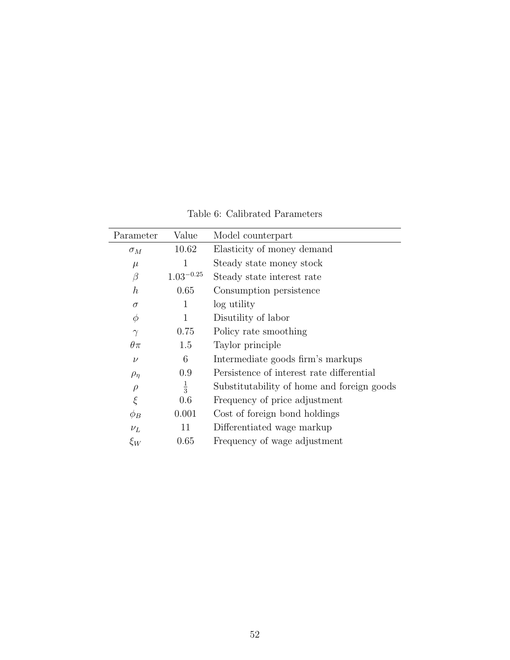| Parameter        | Value          | Model counterpart                          |
|------------------|----------------|--------------------------------------------|
| $\sigma_M$       | 10.62          | Elasticity of money demand                 |
| $\mu$            | 1              | Steady state money stock                   |
| $\beta$          | $1.03^{-0.25}$ | Steady state interest rate                 |
| $\boldsymbol{h}$ | 0.65           | Consumption persistence                    |
| $\sigma$         | 1              | log utility                                |
| $\phi$           | 1              | Disutility of labor                        |
| $\gamma$         | 0.75           | Policy rate smoothing                      |
| $\theta\pi$      | 1.5            | Taylor principle                           |
| $\nu$            | 6              | Intermediate goods firm's markups          |
| $\rho_{\eta}$    | 0.9            | Persistence of interest rate differential  |
| $\rho$           | $\frac{1}{3}$  | Substitutability of home and foreign goods |
| ξ                | 0.6            | Frequency of price adjustment              |
| $\phi_B$         | 0.001          | Cost of foreign bond holdings              |
| $\nu_L$          | 11             | Differentiated wage markup                 |
| $\xi_W$          | 0.65           | Frequency of wage adjustment               |

Table 6: Calibrated Parameters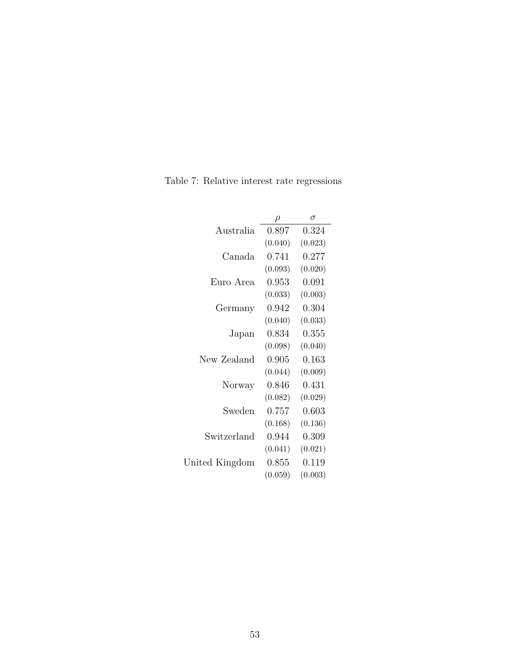|                | $\varrho$ | $\sigma$ |
|----------------|-----------|----------|
| Australia      | 0.897     | 0.324    |
|                | (0.040)   | (0.023)  |
| Canada         | 0.741     | 0.277    |
|                | (0.093)   | (0.020)  |
| Euro Area      | 0.953     | 0.091    |
|                | (0.033)   | (0.003)  |
| Germany        | 0.942     | 0.304    |
|                | (0.040)   | (0.033)  |
| Japan          | 0.834     | 0.355    |
|                | (0.098)   | (0.040)  |
| New Zealand    | 0.905     | 0.163    |
|                | (0.044)   | (0.009)  |
| Norway         | 0.846     | 0.431    |
|                | (0.082)   | (0.029)  |
| Sweden         | 0.757     | 0.603    |
|                | (0.168)   | (0.136)  |
| Switzerland    | 0.944     | 0.309    |
|                | (0.041)   | (0.021)  |
| United Kingdom | 0.855     | 0.119    |
|                | (0.059)   | (0.003)  |

Table 7: Relative interest rate regressions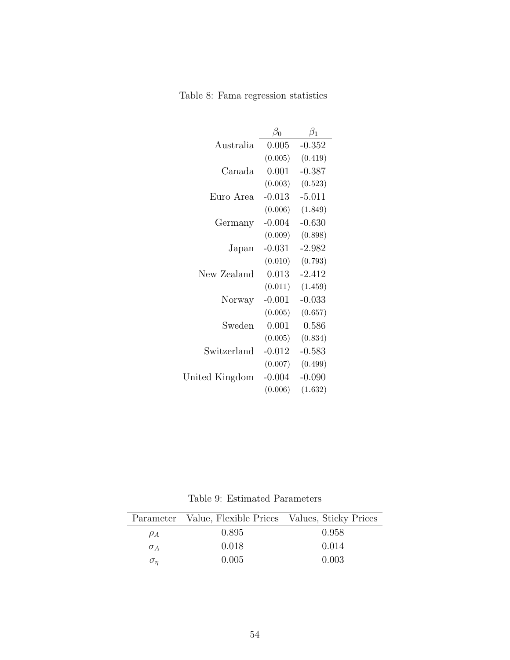Table 8: Fama regression statistics

|                | $\beta_0$ | $\beta_1$ |
|----------------|-----------|-----------|
| Australia      | 0.005     | $-0.352$  |
|                | (0.005)   | (0.419)   |
| Canada         | 0.001     | $-0.387$  |
|                | (0.003)   | (0.523)   |
| Euro Area      | $-0.013$  | $-5.011$  |
|                | (0.006)   | (1.849)   |
| Germany        | $-0.004$  | $-0.630$  |
|                | (0.009)   | (0.898)   |
| Japan          | $-0.031$  | $-2.982$  |
|                | (0.010)   | (0.793)   |
| New Zealand    | 0.013     | $-2.412$  |
|                | (0.011)   | (1.459)   |
| Norway         | $-0.001$  | $-0.033$  |
|                | (0.005)   | (0.657)   |
| Sweden         | 0.001     | 0.586     |
|                | (0.005)   | (0.834)   |
| Switzerland    | $-0.012$  | $-0.583$  |
|                | (0.007)   | (0.499)   |
| United Kingdom | $-0.004$  | $-0.090$  |
|                | (0.006)   | (1.632)   |

Table 9: Estimated Parameters

|            | Parameter Value, Flexible Prices Values, Sticky Prices |       |
|------------|--------------------------------------------------------|-------|
| $\rho_A$   | 0.895                                                  | 0.958 |
| $\sigma_A$ | 0.018                                                  | 0.014 |
| $\sigma_n$ | 0.005                                                  | 0.003 |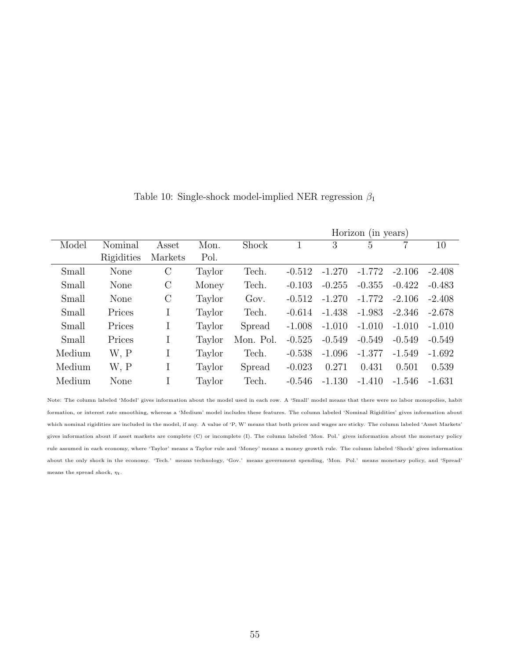|        |            |         |        | Horizon (in years) |          |          |          |          |          |
|--------|------------|---------|--------|--------------------|----------|----------|----------|----------|----------|
| Model  | Nominal    | Asset   | Mon.   | Shock              |          | 3        | 5        |          | 10       |
|        | Rigidities | Markets | Pol.   |                    |          |          |          |          |          |
| Small  | None       | $\rm C$ | Taylor | Tech.              | $-0.512$ | $-1.270$ | $-1.772$ | $-2.106$ | $-2.408$ |
| Small  | None       | $\rm C$ | Money  | Tech.              | $-0.103$ | $-0.255$ | $-0.355$ | $-0.422$ | $-0.483$ |
| Small  | None       | $\rm C$ | Taylor | Gov.               | $-0.512$ | $-1.270$ | $-1.772$ | $-2.106$ | $-2.408$ |
| Small  | Prices     | Ι       | Taylor | Tech.              | $-0.614$ | $-1.438$ | $-1.983$ | $-2.346$ | $-2.678$ |
| Small  | Prices     | Ι       | Taylor | Spread             | $-1.008$ | $-1.010$ | $-1.010$ | $-1.010$ | $-1.010$ |
| Small  | Prices     | Ι       | Taylor | Mon. Pol.          | $-0.525$ | $-0.549$ | $-0.549$ | $-0.549$ | $-0.549$ |
| Medium | W, P       | Ι       | Taylor | Tech.              | $-0.538$ | $-1.096$ | $-1.377$ | $-1.549$ | $-1.692$ |
| Medium | W, P       | Ι       | Taylor | Spread             | $-0.023$ | 0.271    | 0.431    | 0.501    | 0.539    |
| Medium | None       |         | Taylor | Tech.              | $-0.546$ | $-1.130$ | $-1.410$ | $-1.546$ | $-1.631$ |

Table 10: Single-shock model-implied NER regression  $\beta_1$ 

Note: The column labeled 'Model' gives information about the model used in each row. A 'Small' model means that there were no labor monopolies, habit formation, or interest rate smoothing, whereas a 'Medium' model includes these features. The column labeled 'Nominal Rigidities' gives information about which nominal rigidities are included in the model, if any. A value of 'P, W' means that both prices and wages are sticky. The column labeled 'Asset Markets' gives information about if asset markets are complete (C) or incomplete (I). The column labeled 'Mon. Pol.' gives information about the monetary policy rule assumed in each economy, where 'Taylor' means a Taylor rule and 'Money' means a money growth rule. The column labeled 'Shock' gives information about the only shock in the economy. 'Tech.' means technology, 'Gov.' means government spending, 'Mon. Pol.' means monetary policy, and 'Spread' means the spread shock,  $\eta_t.$